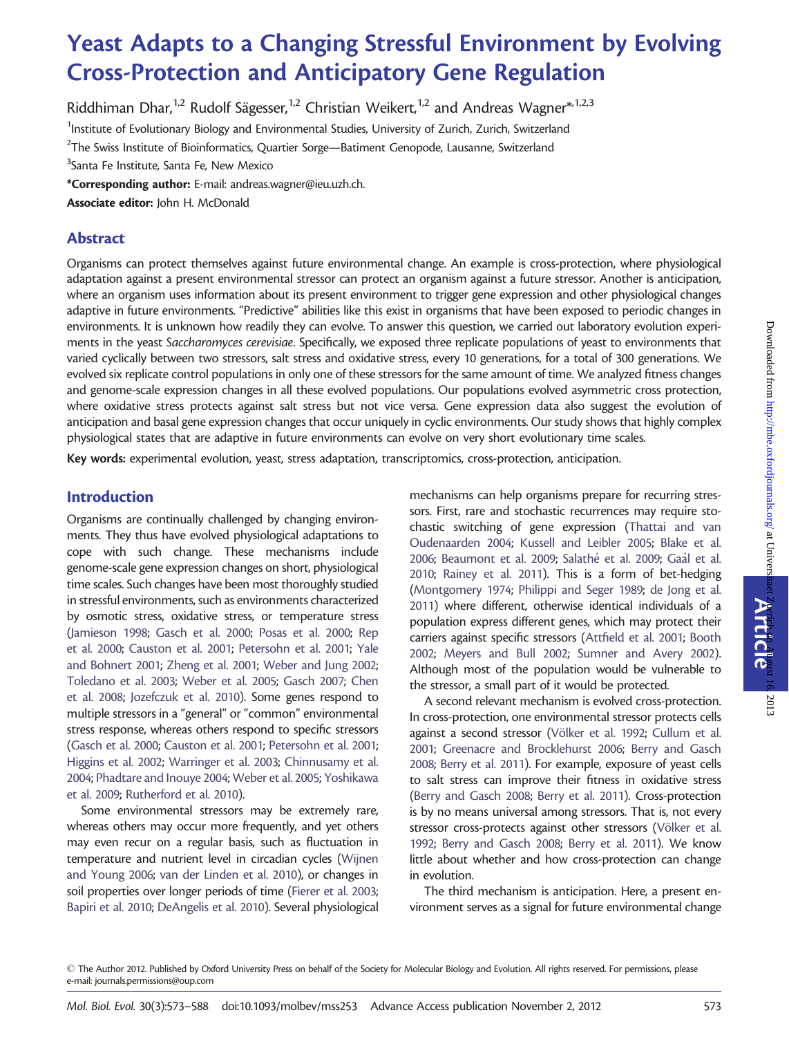# Yeast Adapts to a Changing Stressful Environment by Evolving Cross-Protection and Anticipatory Gene Regulation

Riddhiman Dhar,<sup>1,2</sup> Rudolf Sägesser,<sup>1,2</sup> Christian Weikert,<sup>1,2</sup> and Andreas Wagner<sup>\*,1,2,3</sup>

<sup>1</sup>Institute of Evolutionary Biology and Environmental Studies, University of Zurich, Zurich, Switzerland

 $^{2}$ The Swiss Institute of Bioinformatics, Quartier Sorge—Batiment Genopode, Lausanne, Switzerland

 $3$ Santa Fe Institute, Santa Fe, New Mexico

\*Corresponding author: E-mail: andreas.wagner@ieu.uzh.ch.

Associate editor: John H. McDonald

### Abstract

Organisms can protect themselves against future environmental change. An example is cross-protection, where physiological adaptation against a present environmental stressor can protect an organism against a future stressor. Another is anticipation, where an organism uses information about its present environment to trigger gene expression and other physiological changes adaptive in future environments. "Predictive" abilities like this exist in organisms that have been exposed to periodic changes in environments. It is unknown how readily they can evolve. To answer this question, we carried out laboratory evolution experiments in the yeast Saccharomyces cerevisiae. Specifically, we exposed three replicate populations of yeast to environments that varied cyclically between two stressors, salt stress and oxidative stress, every 10 generations, for a total of 300 generations. We evolved six replicate control populations in only one of these stressors for the same amount of time. We analyzed fitness changes and genome-scale expression changes in all these evolved populations. Our populations evolved asymmetric cross protection, where oxidative stress protects against salt stress but not vice versa. Gene expression data also suggest the evolution of anticipation and basal gene expression changes that occur uniquely in cyclic environments. Our study shows that highly complex physiological states that are adaptive in future environments can evolve on very short evolutionary time scales.

Key words: experimental evolution, yeast, stress adaptation, transcriptomics, cross-protection, anticipation.

# Introduction

Organisms are continually challenged by changing environments. They thus have evolved physiological adaptations to cope with such change. These mechanisms include genome-scale gene expression changes on short, physiological time scales. Such changes have been most thoroughly studied in stressful environments, such as environments characterized by osmotic stress, oxidative stress, or temperature stress ([Jamieson 1998](#page-14-0); [Gasch et al. 2000](#page-14-0); [Posas et al. 2000](#page-15-0); [Rep](#page-15-0) [et al. 2000;](#page-15-0) [Causton et al. 2001;](#page-13-0) [Petersohn et al. 2001](#page-15-0); [Yale](#page-15-0) [and Bohnert 2001](#page-15-0); [Zheng et al. 2001;](#page-15-0) [Weber and Jung 2002;](#page-15-0) [Toledano et al. 2003](#page-15-0); [Weber et al. 2005;](#page-15-0) [Gasch 2007;](#page-14-0) [Chen](#page-14-0) [et al. 2008;](#page-14-0) [Jozefczuk et al. 2010\)](#page-14-0). Some genes respond to multiple stressors in a "general" or "common" environmental stress response, whereas others respond to specific stressors ([Gasch et al. 2000](#page-14-0); [Causton et al. 2001](#page-13-0); [Petersohn et al. 2001;](#page-15-0) [Higgins et al. 2002](#page-14-0); [Warringer et al. 2003;](#page-15-0) [Chinnusamy et al.](#page-14-0) [2004;](#page-14-0) [Phadtare and Inouye 2004;](#page-15-0) [Weber et al. 2005](#page-15-0); [Yoshikawa](#page-15-0) [et al. 2009](#page-15-0); [Rutherford et al. 2010\)](#page-15-0).

Some environmental stressors may be extremely rare, whereas others may occur more frequently, and yet others may even recur on a regular basis, such as fluctuation in temperature and nutrient level in circadian cycles ([Wijnen](#page-15-0) [and Young 2006;](#page-15-0) [van der Linden et al. 2010](#page-15-0)), or changes in soil properties over longer periods of time [\(Fierer et al. 2003;](#page-14-0) [Bapiri et al. 2010;](#page-13-0) [DeAngelis et al. 2010\)](#page-14-0). Several physiological

mechanisms can help organisms prepare for recurring stressors. First, rare and stochastic recurrences may require stochastic switching of gene expression ([Thattai and van](#page-15-0) [Oudenaarden 2004;](#page-15-0) [Kussell and Leibler 2005;](#page-14-0) [Blake et al.](#page-13-0) [2006;](#page-13-0) [Beaumont et al. 2009](#page-13-0); Salathé [et al. 2009](#page-15-0); Gaál et al. [2010;](#page-14-0) [Rainey et al. 2011\)](#page-15-0). This is a form of bet-hedging [\(Montgomery 1974;](#page-15-0) Philippi [and Seger 1989](#page-15-0); [de Jong et al.](#page-14-0) [2011\)](#page-14-0) where different, otherwise identical individuals of a population express different genes, which may protect their carriers against specific stressors ([Attfield et al. 2001;](#page-13-0) [Booth](#page-13-0) [2002;](#page-13-0) [Meyers and Bull 2002](#page-15-0); [Sumner and Avery 2002\)](#page-15-0). Although most of the population would be vulnerable to the stressor, a small part of it would be protected.

A second relevant mechanism is evolved cross-protection. In cross-protection, one environmental stressor protects cells against a second stressor (Völker et al. 1992; [Cullum et al.](#page-14-0) [2001;](#page-14-0) [Greenacre and Brocklehurst 2006;](#page-14-0) [Berry and Gasch](#page-13-0) [2008;](#page-13-0) [Berry et al. 2011\)](#page-13-0). For example, exposure of yeast cells to salt stress can improve their fitness in oxidative stress [\(Berry and Gasch 2008](#page-13-0); [Berry et al. 2011](#page-13-0)). Cross-protection is by no means universal among stressors. That is, not every stressor cross-protects against other stressors (Völker et al. [1992;](#page-15-0) [Berry and Gasch 2008](#page-13-0); [Berry et al. 2011](#page-13-0)). We know little about whether and how cross-protection can change in evolution.

The third mechanism is anticipation. Here, a present environment serves as a signal for future environmental change

 $\odot$  The Author 2012. Published by Oxford University Press on behalf of the Society for Molecular Biology and Evolution. All rights reserved. For permissions, please e-mail: journals.permissions@oup.com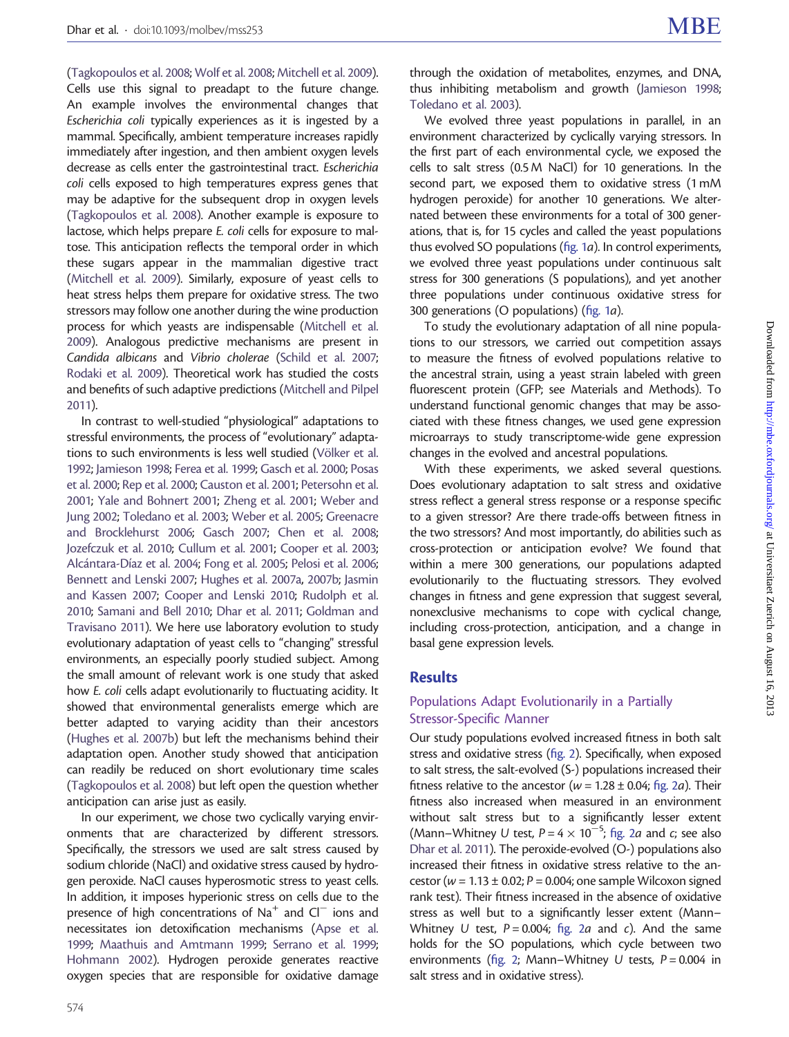([Tagkopoulos et al. 2008](#page-15-0); [Wolf et al. 2008;](#page-15-0) [Mitchell et al. 2009\)](#page-15-0). Cells use this signal to preadapt to the future change. An example involves the environmental changes that Escherichia coli typically experiences as it is ingested by a mammal. Specifically, ambient temperature increases rapidly immediately after ingestion, and then ambient oxygen levels decrease as cells enter the gastrointestinal tract. Escherichia coli cells exposed to high temperatures express genes that may be adaptive for the subsequent drop in oxygen levels ([Tagkopoulos et al. 2008](#page-15-0)). Another example is exposure to lactose, which helps prepare E. coli cells for exposure to maltose. This anticipation reflects the temporal order in which these sugars appear in the mammalian digestive tract ([Mitchell et al. 2009](#page-15-0)). Similarly, exposure of yeast cells to heat stress helps them prepare for oxidative stress. The two stressors may follow one another during the wine production process for which yeasts are indispensable [\(Mitchell et al.](#page-15-0) [2009\)](#page-15-0). Analogous predictive mechanisms are present in Candida albicans and Vibrio cholerae ([Schild et al. 2007;](#page-15-0) [Rodaki et al. 2009](#page-15-0)). Theoretical work has studied the costs and benefits of such adaptive predictions [\(Mitchell and Pilpel](#page-15-0) [2011\)](#page-15-0).

In contrast to well-studied "physiological" adaptations to stressful environments, the process of "evolutionary" adaptations to such environments is less well studied (Völker et al. [1992;](#page-15-0) [Jamieson 1998](#page-14-0); [Ferea et al. 1999;](#page-14-0) [Gasch et al. 2000;](#page-14-0) [Posas](#page-15-0) [et al. 2000;](#page-15-0) [Rep et al. 2000](#page-15-0); [Causton et al. 2001](#page-13-0); [Petersohn et al.](#page-15-0) [2001;](#page-15-0) [Yale and Bohnert 2001;](#page-15-0) [Zheng et al. 2001](#page-15-0); [Weber and](#page-15-0) [Jung 2002](#page-15-0); [Toledano et al. 2003;](#page-15-0) [Weber et al. 2005](#page-15-0); [Greenacre](#page-14-0) [and Brocklehurst 2006](#page-14-0); [Gasch 2007;](#page-14-0) [Chen et al. 2008;](#page-14-0) [Jozefczuk et al. 2010;](#page-14-0) [Cullum et al. 2001;](#page-14-0) [Cooper et al. 2003;](#page-14-0) Alcántara-Díaz et al. 2004; [Fong et al. 2005](#page-14-0); [Pelosi et al. 2006;](#page-15-0) [Bennett and Lenski 2007;](#page-13-0) [Hughes et al. 2007a,](#page-14-0) [2007b;](#page-14-0) [Jasmin](#page-14-0) [and Kassen 2007](#page-14-0); [Cooper and Lenski 2010;](#page-14-0) [Rudolph et al.](#page-15-0) [2010;](#page-15-0) [Samani and Bell 2010](#page-15-0); [Dhar et al. 2011](#page-14-0); [Goldman and](#page-14-0) [Travisano 2011](#page-14-0)). We here use laboratory evolution to study evolutionary adaptation of yeast cells to "changing" stressful environments, an especially poorly studied subject. Among the small amount of relevant work is one study that asked how E. coli cells adapt evolutionarily to fluctuating acidity. It showed that environmental generalists emerge which are better adapted to varying acidity than their ancestors ([Hughes et al. 2007b](#page-14-0)) but left the mechanisms behind their adaptation open. Another study showed that anticipation can readily be reduced on short evolutionary time scales ([Tagkopoulos et al. 2008](#page-15-0)) but left open the question whether anticipation can arise just as easily.

In our experiment, we chose two cyclically varying environments that are characterized by different stressors. Specifically, the stressors we used are salt stress caused by sodium chloride (NaCl) and oxidative stress caused by hydrogen peroxide. NaCl causes hyperosmotic stress to yeast cells. In addition, it imposes hyperionic stress on cells due to the presence of high concentrations of  $Na<sup>+</sup>$  and  $Cl<sup>-</sup>$  ions and necessitates ion detoxification mechanisms [\(Apse et al.](#page-13-0) [1999;](#page-13-0) [Maathuis and Amtmann 1999;](#page-14-0) [Serrano et al. 1999;](#page-15-0) [Hohmann 2002](#page-14-0)). Hydrogen peroxide generates reactive oxygen species that are responsible for oxidative damage through the oxidation of metabolites, enzymes, and DNA, thus inhibiting metabolism and growth ([Jamieson 1998;](#page-14-0) [Toledano et al. 2003\)](#page-15-0).

We evolved three yeast populations in parallel, in an environment characterized by cyclically varying stressors. In the first part of each environmental cycle, we exposed the cells to salt stress (0.5 M NaCl) for 10 generations. In the second part, we exposed them to oxidative stress (1 mM hydrogen peroxide) for another 10 generations. We alternated between these environments for a total of 300 generations, that is, for 15 cycles and called the yeast populations thus evolved SO populations [\(fig. 1](#page-2-0)a). In control experiments, we evolved three yeast populations under continuous salt stress for 300 generations (S populations), and yet another three populations under continuous oxidative stress for 300 generations (O populations) [\(fig. 1](#page-2-0)a).

To study the evolutionary adaptation of all nine populations to our stressors, we carried out competition assays to measure the fitness of evolved populations relative to the ancestral strain, using a yeast strain labeled with green fluorescent protein (GFP; see Materials and Methods). To understand functional genomic changes that may be associated with these fitness changes, we used gene expression microarrays to study transcriptome-wide gene expression changes in the evolved and ancestral populations.

With these experiments, we asked several questions. Does evolutionary adaptation to salt stress and oxidative stress reflect a general stress response or a response specific to a given stressor? Are there trade-offs between fitness in the two stressors? And most importantly, do abilities such as cross-protection or anticipation evolve? We found that within a mere 300 generations, our populations adapted evolutionarily to the fluctuating stressors. They evolved changes in fitness and gene expression that suggest several, nonexclusive mechanisms to cope with cyclical change, including cross-protection, anticipation, and a change in basal gene expression levels.

# **Results**

#### Populations Adapt Evolutionarily in a Partially Stressor-Specific Manner

Our study populations evolved increased fitness in both salt stress and oxidative stress ([fig. 2](#page-3-0)). Specifically, when exposed to salt stress, the salt-evolved (S-) populations increased their fitness relative to the ancestor ( $w = 1.28 \pm 0.04$ ; [fig. 2](#page-3-0)a). Their fitness also increased when measured in an environment without salt stress but to a significantly lesser extent (Mann–Whitney U test,  $P = 4 \times 10^{-5}$ ; [fig. 2](#page-3-0)*a* and *c*; see also [Dhar et al. 2011](#page-14-0)). The peroxide-evolved (O-) populations also increased their fitness in oxidative stress relative to the ancestor ( $w = 1.13 \pm 0.02$ ; P = 0.004; one sample Wilcoxon signed rank test). Their fitness increased in the absence of oxidative stress as well but to a significantly lesser extent (Mann– Whitney U test,  $P = 0.004$ ; [fig. 2](#page-3-0)a and c). And the same holds for the SO populations, which cycle between two environments ([fig. 2;](#page-3-0) Mann–Whitney U tests,  $P = 0.004$  in salt stress and in oxidative stress).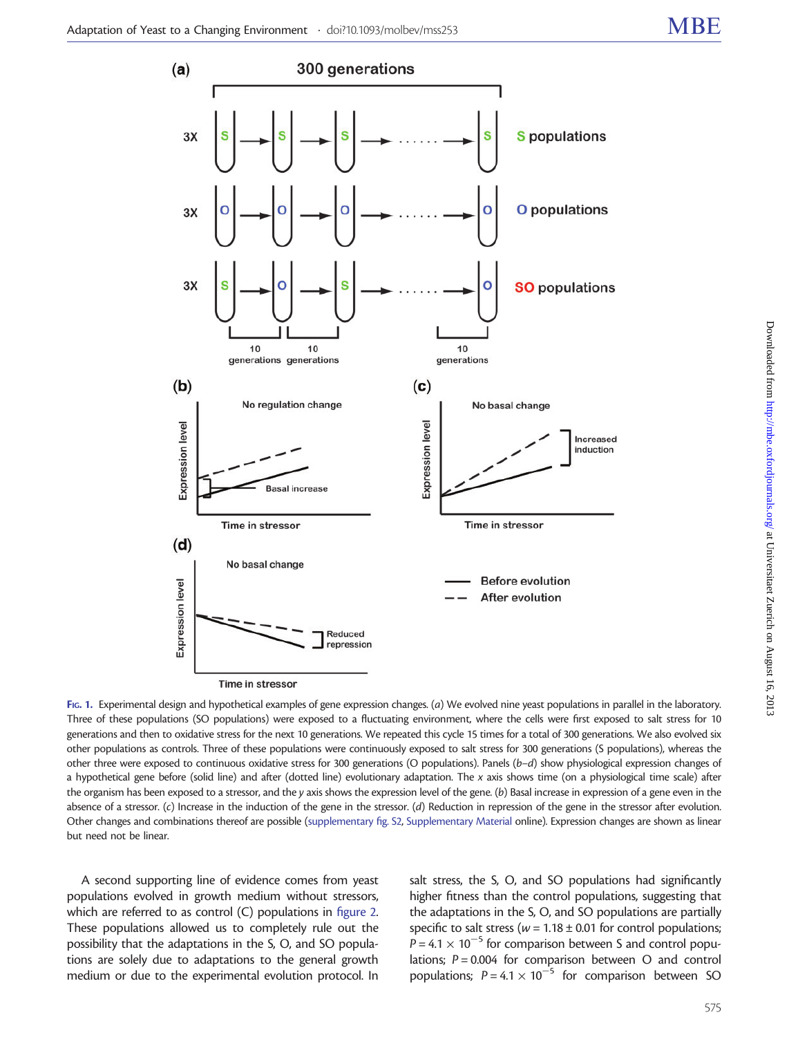<span id="page-2-0"></span>

FIG. 1. Experimental design and hypothetical examples of gene expression changes. (a) We evolved nine yeast populations in parallel in the laboratory. Three of these populations (SO populations) were exposed to a fluctuating environment, where the cells were first exposed to salt stress for 10 generations and then to oxidative stress for the next 10 generations. We repeated this cycle 15 times for a total of 300 generations. We also evolved six other populations as controls. Three of these populations were continuously exposed to salt stress for 300 generations (S populations), whereas the other three were exposed to continuous oxidative stress for 300 generations (O populations). Panels (b–d) show physiological expression changes of a hypothetical gene before (solid line) and after (dotted line) evolutionary adaptation. The x axis shows time (on a physiological time scale) after the organism has been exposed to a stressor, and the y axis shows the expression level of the gene. (b) Basal increase in expression of a gene even in the absence of a stressor. (c) Increase in the induction of the gene in the stressor. (d) Reduction in repression of the gene in the stressor after evolution. Other changes and combinations thereof are possible [\(supplementary fig. S2](http://mbe.oxfordjournals.org/lookup/suppl/doi:10.1093/molbev/mss253/-/DC1), [Supplementary Material](http://mbe.oxfordjournals.org/lookup/suppl/doi:10.1093/molbev/mss253/-/DC1) online). Expression changes are shown as linear but need not be linear.

A second supporting line of evidence comes from yeast populations evolved in growth medium without stressors, which are referred to as control (C) populations in [figure 2.](#page-3-0) These populations allowed us to completely rule out the possibility that the adaptations in the S, O, and SO populations are solely due to adaptations to the general growth medium or due to the experimental evolution protocol. In

salt stress, the S, O, and SO populations had significantly higher fitness than the control populations, suggesting that the adaptations in the S, O, and SO populations are partially specific to salt stress ( $w = 1.18 \pm 0.01$  for control populations;  $P = 4.1 \times 10^{-5}$  for comparison between S and control populations;  $P = 0.004$  for comparison between O and control populations;  $P = 4.1 \times 10^{-5}$  for comparison between SO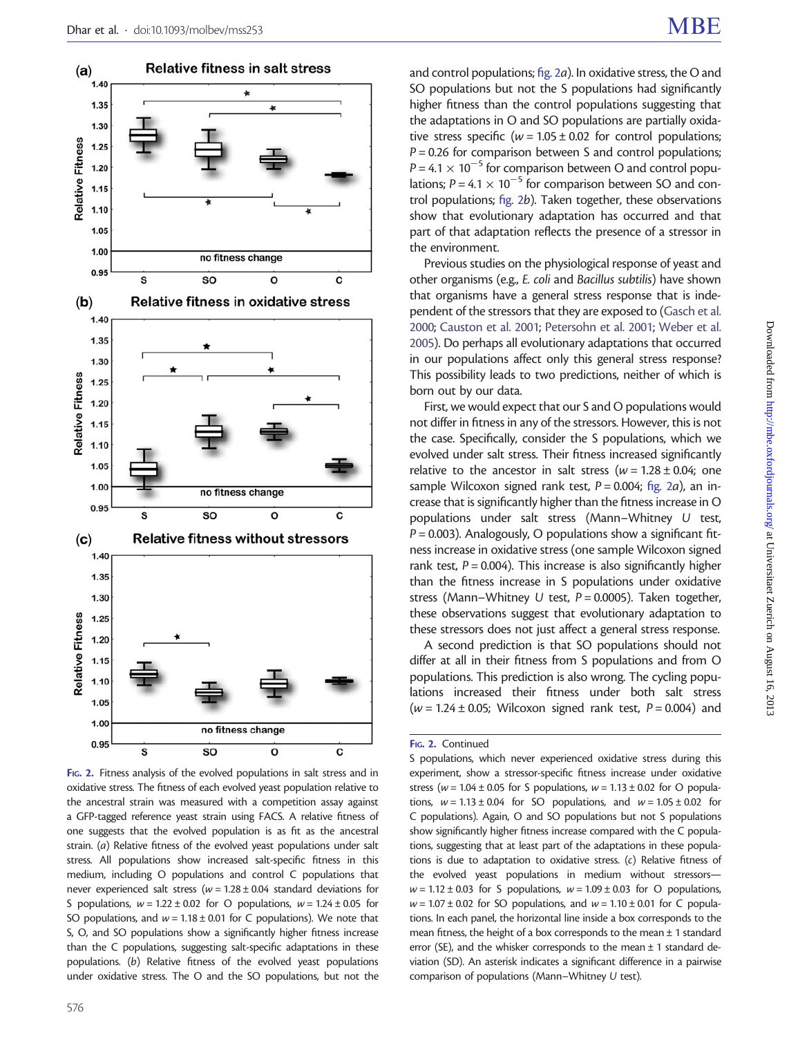<span id="page-3-0"></span>

FIG. 2. Fitness analysis of the evolved populations in salt stress and in oxidative stress. The fitness of each evolved yeast population relative to the ancestral strain was measured with a competition assay against a GFP-tagged reference yeast strain using FACS. A relative fitness of one suggests that the evolved population is as fit as the ancestral strain. (a) Relative fitness of the evolved yeast populations under salt stress. All populations show increased salt-specific fitness in this medium, including O populations and control C populations that never experienced salt stress ( $w = 1.28 \pm 0.04$  standard deviations for S populations,  $w = 1.22 \pm 0.02$  for O populations,  $w = 1.24 \pm 0.05$  for SO populations, and  $w = 1.18 \pm 0.01$  for C populations). We note that S, O, and SO populations show a significantly higher fitness increase than the C populations, suggesting salt-specific adaptations in these populations. (b) Relative fitness of the evolved yeast populations under oxidative stress. The O and the SO populations, but not the

and control populations; fig. 2a). In oxidative stress, the O and SO populations but not the S populations had significantly higher fitness than the control populations suggesting that the adaptations in O and SO populations are partially oxidative stress specific ( $w = 1.05 \pm 0.02$  for control populations;  $P = 0.26$  for comparison between S and control populations;  $P = 4.1 \times 10^{-5}$  for comparison between O and control populations;  $P = 4.1 \times 10^{-5}$  for comparison between SO and control populations; fig. 2b). Taken together, these observations show that evolutionary adaptation has occurred and that part of that adaptation reflects the presence of a stressor in the environment.

Previous studies on the physiological response of yeast and other organisms (e.g., E. coli and Bacillus subtilis) have shown that organisms have a general stress response that is independent of the stressors that they are exposed to [\(Gasch et al.](#page-14-0) [2000;](#page-14-0) [Causton et al. 2001;](#page-13-0) [Petersohn et al. 2001;](#page-15-0) [Weber et al.](#page-15-0) [2005\)](#page-15-0). Do perhaps all evolutionary adaptations that occurred in our populations affect only this general stress response? This possibility leads to two predictions, neither of which is born out by our data.

First, we would expect that our S and O populations would not differ in fitness in any of the stressors. However, this is not the case. Specifically, consider the S populations, which we evolved under salt stress. Their fitness increased significantly relative to the ancestor in salt stress ( $w = 1.28 \pm 0.04$ ; one sample Wilcoxon signed rank test,  $P = 0.004$ ; fig. 2a), an increase that is significantly higher than the fitness increase in O populations under salt stress (Mann–Whitney U test,  $P = 0.003$ ). Analogously, O populations show a significant fitness increase in oxidative stress (one sample Wilcoxon signed rank test,  $P = 0.004$ ). This increase is also significantly higher than the fitness increase in S populations under oxidative stress (Mann–Whitney U test,  $P = 0.0005$ ). Taken together, these observations suggest that evolutionary adaptation to these stressors does not just affect a general stress response.

A second prediction is that SO populations should not differ at all in their fitness from S populations and from O populations. This prediction is also wrong. The cycling populations increased their fitness under both salt stress ( $w = 1.24 \pm 0.05$ ; Wilcoxon signed rank test,  $P = 0.004$ ) and

#### F<sub>IG</sub>. 2. Continued

S populations, which never experienced oxidative stress during this experiment, show a stressor-specific fitness increase under oxidative stress ( $w = 1.04 \pm 0.05$  for S populations,  $w = 1.13 \pm 0.02$  for O populations,  $w = 1.13 \pm 0.04$  for SO populations, and  $w = 1.05 \pm 0.02$  for C populations). Again, O and SO populations but not S populations show significantly higher fitness increase compared with the C populations, suggesting that at least part of the adaptations in these populations is due to adaptation to oxidative stress. (c) Relative fitness of the evolved yeast populations in medium without stressors  $w = 1.12 \pm 0.03$  for S populations,  $w = 1.09 \pm 0.03$  for O populations,  $w = 1.07 \pm 0.02$  for SO populations, and  $w = 1.10 \pm 0.01$  for C populations. In each panel, the horizontal line inside a box corresponds to the mean fitness, the height of a box corresponds to the mean  $\pm$  1 standard error (SE), and the whisker corresponds to the mean  $\pm$  1 standard deviation (SD). An asterisk indicates a significant difference in a pairwise comparison of populations (Mann–Whitney U test).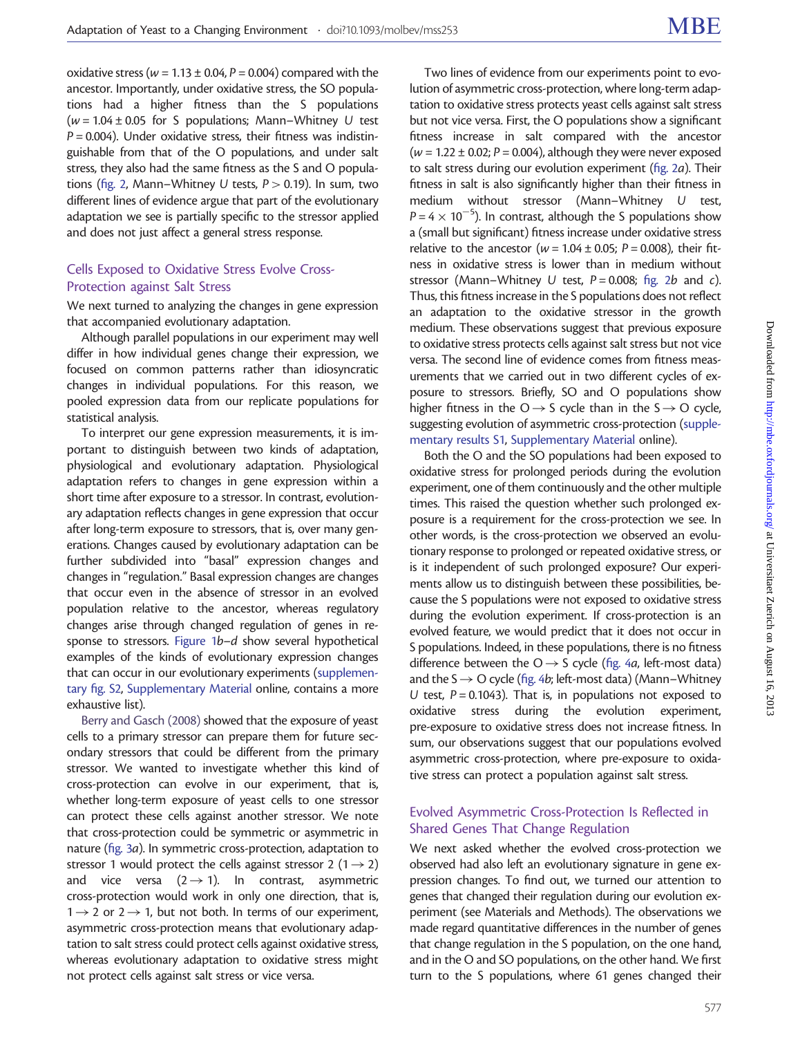oxidative stress ( $w = 1.13 \pm 0.04$ ,  $P = 0.004$ ) compared with the ancestor. Importantly, under oxidative stress, the SO populations had a higher fitness than the S populations ( $w = 1.04 \pm 0.05$  for S populations; Mann–Whitney U test  $P = 0.004$ ). Under oxidative stress, their fitness was indistinguishable from that of the O populations, and under salt stress, they also had the same fitness as the S and O popula-tions [\(fig. 2](#page-3-0), Mann–Whitney U tests,  $P > 0.19$ ). In sum, two different lines of evidence argue that part of the evolutionary adaptation we see is partially specific to the stressor applied and does not just affect a general stress response.

#### Cells Exposed to Oxidative Stress Evolve Cross-Protection against Salt Stress

We next turned to analyzing the changes in gene expression that accompanied evolutionary adaptation.

Although parallel populations in our experiment may well differ in how individual genes change their expression, we focused on common patterns rather than idiosyncratic changes in individual populations. For this reason, we pooled expression data from our replicate populations for statistical analysis.

To interpret our gene expression measurements, it is important to distinguish between two kinds of adaptation, physiological and evolutionary adaptation. Physiological adaptation refers to changes in gene expression within a short time after exposure to a stressor. In contrast, evolutionary adaptation reflects changes in gene expression that occur after long-term exposure to stressors, that is, over many generations. Changes caused by evolutionary adaptation can be further subdivided into "basal" expression changes and changes in "regulation." Basal expression changes are changes that occur even in the absence of stressor in an evolved population relative to the ancestor, whereas regulatory changes arise through changed regulation of genes in response to stressors. [Figure 1](#page-2-0)b–d show several hypothetical examples of the kinds of evolutionary expression changes that can occur in our evolutionary experiments ([supplemen](http://mbe.oxfordjournals.org/lookup/suppl/doi:10.1093/molbev/mss253/-/DC1)[tary fig. S2](http://mbe.oxfordjournals.org/lookup/suppl/doi:10.1093/molbev/mss253/-/DC1), [Supplementary Material](http://mbe.oxfordjournals.org/lookup/suppl/doi:10.1093/molbev/mss253/-/DC1) online, contains a more exhaustive list).

[Berry and Gasch \(2008\)](#page-13-0) showed that the exposure of yeast cells to a primary stressor can prepare them for future secondary stressors that could be different from the primary stressor. We wanted to investigate whether this kind of cross-protection can evolve in our experiment, that is, whether long-term exposure of yeast cells to one stressor can protect these cells against another stressor. We note that cross-protection could be symmetric or asymmetric in nature ([fig. 3](#page-5-0)a). In symmetric cross-protection, adaptation to stressor 1 would protect the cells against stressor 2 ( $1 \rightarrow 2$ ) and vice versa  $(2 \rightarrow 1)$ . In contrast, asymmetric cross-protection would work in only one direction, that is,  $1 \rightarrow 2$  or  $2 \rightarrow 1$ , but not both. In terms of our experiment, asymmetric cross-protection means that evolutionary adaptation to salt stress could protect cells against oxidative stress, whereas evolutionary adaptation to oxidative stress might not protect cells against salt stress or vice versa.

Two lines of evidence from our experiments point to evolution of asymmetric cross-protection, where long-term adaptation to oxidative stress protects yeast cells against salt stress but not vice versa. First, the O populations show a significant fitness increase in salt compared with the ancestor ( $w = 1.22 \pm 0.02$ ;  $P = 0.004$ ), although they were never exposed to salt stress during our evolution experiment [\(fig. 2](#page-3-0)a). Their fitness in salt is also significantly higher than their fitness in medium without stressor (Mann–Whitney U test,  $P = 4 \times 10^{-5}$ ). In contrast, although the S populations show a (small but significant) fitness increase under oxidative stress relative to the ancestor ( $w = 1.04 \pm 0.05$ ; P = 0.008), their fitness in oxidative stress is lower than in medium without stressor (Mann–Whitney U test,  $P = 0.008$ ; [fig. 2](#page-3-0)b and c). Thus, this fitness increase in the S populations does not reflect an adaptation to the oxidative stressor in the growth medium. These observations suggest that previous exposure to oxidative stress protects cells against salt stress but not vice versa. The second line of evidence comes from fitness measurements that we carried out in two different cycles of exposure to stressors. Briefly, SO and O populations show higher fitness in the  $O \rightarrow S$  cycle than in the  $S \rightarrow O$  cycle, suggesting evolution of asymmetric cross-protection [\(supple](http://mbe.oxfordjournals.org/lookup/suppl/doi:10.1093/molbev/mss253/-/DC1)[mentary results S1](http://mbe.oxfordjournals.org/lookup/suppl/doi:10.1093/molbev/mss253/-/DC1), [Supplementary Material](http://mbe.oxfordjournals.org/lookup/suppl/doi:10.1093/molbev/mss253/-/DC1) online).

Both the O and the SO populations had been exposed to oxidative stress for prolonged periods during the evolution experiment, one of them continuously and the other multiple times. This raised the question whether such prolonged exposure is a requirement for the cross-protection we see. In other words, is the cross-protection we observed an evolutionary response to prolonged or repeated oxidative stress, or is it independent of such prolonged exposure? Our experiments allow us to distinguish between these possibilities, because the S populations were not exposed to oxidative stress during the evolution experiment. If cross-protection is an evolved feature, we would predict that it does not occur in S populations. Indeed, in these populations, there is no fitness difference between the  $O \rightarrow S$  cycle [\(fig. 4](#page-6-0)a, left-most data) and the  $S \rightarrow O$  cycle [\(fig. 4](#page-6-0)b; left-most data) (Mann–Whitney U test,  $P = 0.1043$ ). That is, in populations not exposed to oxidative stress during the evolution experiment, pre-exposure to oxidative stress does not increase fitness. In sum, our observations suggest that our populations evolved asymmetric cross-protection, where pre-exposure to oxidative stress can protect a population against salt stress.

#### Evolved Asymmetric Cross-Protection Is Reflected in Shared Genes That Change Regulation

We next asked whether the evolved cross-protection we observed had also left an evolutionary signature in gene expression changes. To find out, we turned our attention to genes that changed their regulation during our evolution experiment (see Materials and Methods). The observations we made regard quantitative differences in the number of genes that change regulation in the S population, on the one hand, and in the O and SO populations, on the other hand. We first turn to the S populations, where 61 genes changed their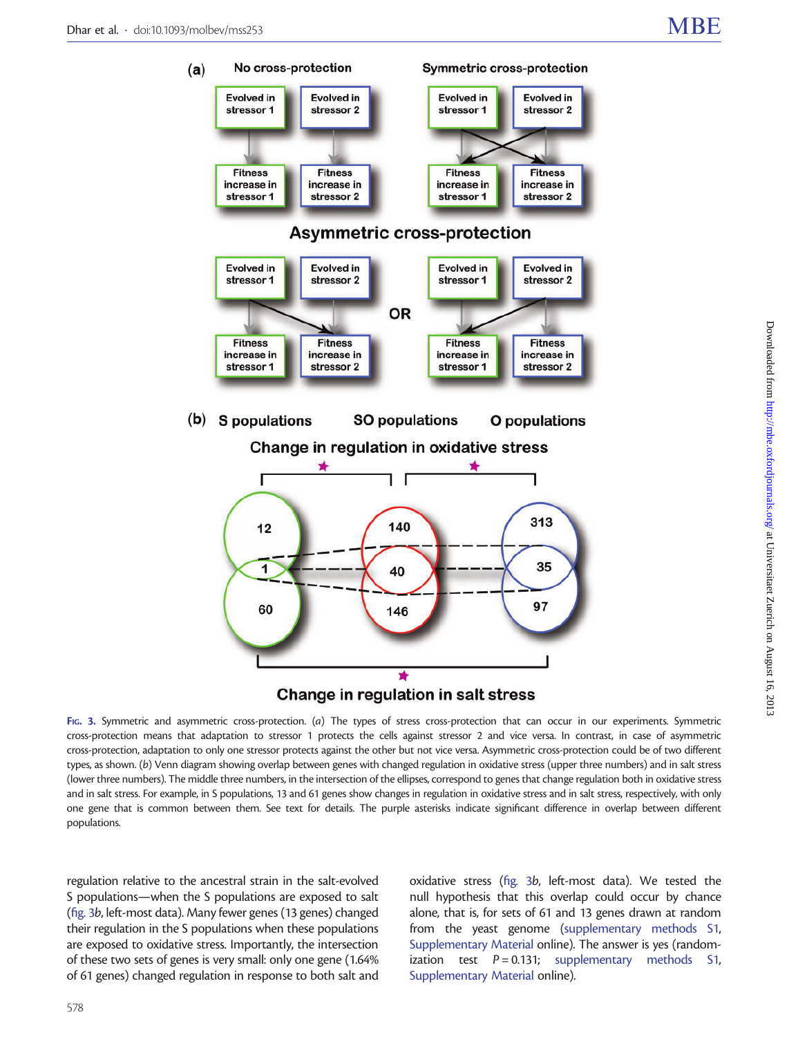<span id="page-5-0"></span>

FIG. 3. Symmetric and asymmetric cross-protection. (a) The types of stress cross-protection that can occur in our experiments. Symmetric cross-protection means that adaptation to stressor 1 protects the cells against stressor 2 and vice versa. In contrast, in case of asymmetric cross-protection, adaptation to only one stressor protects against the other but not vice versa. Asymmetric cross-protection could be of two different types, as shown. (b) Venn diagram showing overlap between genes with changed regulation in oxidative stress (upper three numbers) and in salt stress (lower three numbers). The middle three numbers, in the intersection of the ellipses, correspond to genes that change regulation both in oxidative stress and in salt stress. For example, in S populations, 13 and 61 genes show changes in regulation in oxidative stress and in salt stress, respectively, with only one gene that is common between them. See text for details. The purple asterisks indicate significant difference in overlap between different populations.

regulation relative to the ancestral strain in the salt-evolved S populations—when the S populations are exposed to salt (fig. 3b, left-most data). Many fewer genes (13 genes) changed their regulation in the S populations when these populations are exposed to oxidative stress. Importantly, the intersection of these two sets of genes is very small: only one gene (1.64% of 61 genes) changed regulation in response to both salt and

oxidative stress (fig. 3b, left-most data). We tested the null hypothesis that this overlap could occur by chance alone, that is, for sets of 61 and 13 genes drawn at random from the yeast genome [\(supplementary methods S1,](http://mbe.oxfordjournals.org/lookup/suppl/doi:10.1093/molbev/mss253/-/DC1) [Supplementary Material](http://mbe.oxfordjournals.org/lookup/suppl/doi:10.1093/molbev/mss253/-/DC1) online). The answer is yes (randomization test  $P = 0.131$ ; [supplementary methods S1,](http://mbe.oxfordjournals.org/lookup/suppl/doi:10.1093/molbev/mss253/-/DC1) [Supplementary Material](http://mbe.oxfordjournals.org/lookup/suppl/doi:10.1093/molbev/mss253/-/DC1) online).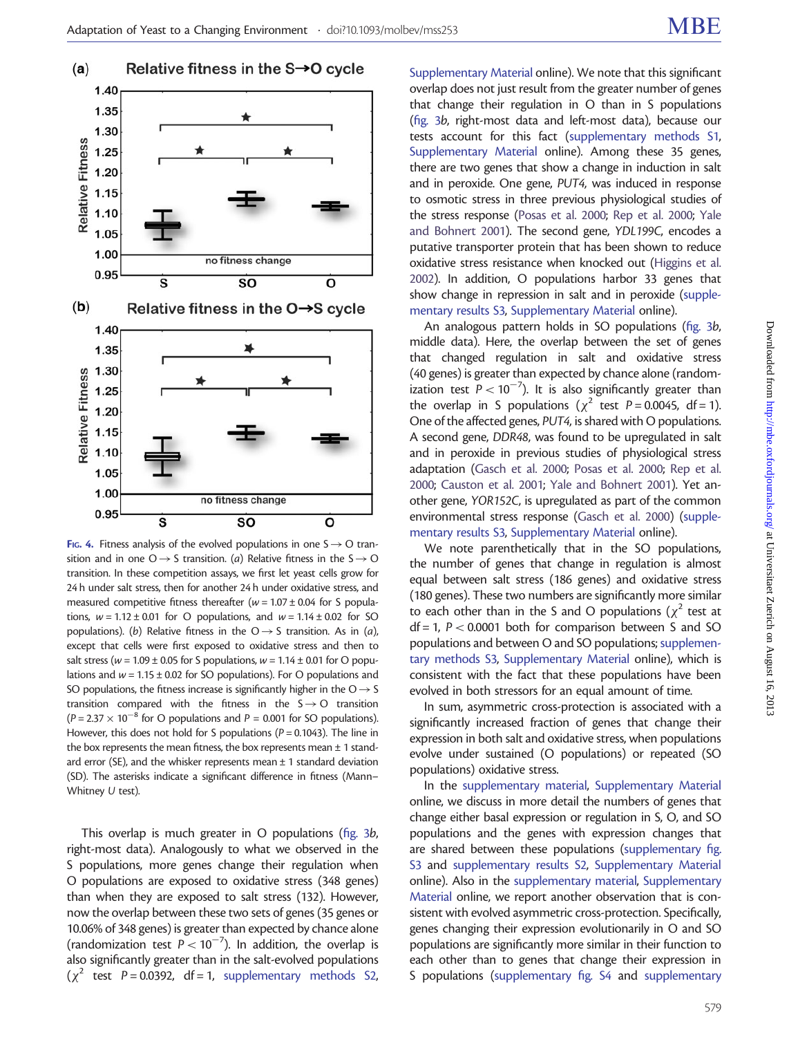<span id="page-6-0"></span>

FIG. 4. Fitness analysis of the evolved populations in one  $S \rightarrow O$  transition and in one  $O \rightarrow S$  transition. (a) Relative fitness in the S  $\rightarrow$  O transition. In these competition assays, we first let yeast cells grow for 24 h under salt stress, then for another 24 h under oxidative stress, and measured competitive fitness thereafter ( $w = 1.07 \pm 0.04$  for S populations,  $w = 1.12 \pm 0.01$  for O populations, and  $w = 1.14 \pm 0.02$  for SO populations). (b) Relative fitness in the  $O \rightarrow S$  transition. As in (a), except that cells were first exposed to oxidative stress and then to salt stress ( $w = 1.09 \pm 0.05$  for S populations,  $w = 1.14 \pm 0.01$  for O populations and  $w = 1.15 \pm 0.02$  for SO populations). For O populations and SO populations, the fitness increase is significantly higher in the O  $\rightarrow$  S transition compared with the fitness in the  $S \rightarrow O$  transition  $(P = 2.37 \times 10^{-8}$  for O populations and P = 0.001 for SO populations). However, this does not hold for S populations ( $P = 0.1043$ ). The line in the box represents the mean fitness, the box represents mean ± 1 standard error (SE), and the whisker represents mean  $\pm$  1 standard deviation (SD). The asterisks indicate a significant difference in fitness (Mann– Whitney U test).

This overlap is much greater in O populations [\(fig. 3](#page-5-0)b, right-most data). Analogously to what we observed in the S populations, more genes change their regulation when O populations are exposed to oxidative stress (348 genes) than when they are exposed to salt stress (132). However, now the overlap between these two sets of genes (35 genes or 10.06% of 348 genes) is greater than expected by chance alone (randomization test  $P < 10^{-7}$ ). In addition, the overlap is also significantly greater than in the salt-evolved populations  $(\chi^2$  test P = 0.0392, df = 1, [supplementary methods S2,](http://mbe.oxfordjournals.org/lookup/suppl/doi:10.1093/molbev/mss253/-/DC1)

[Supplementary Material](http://mbe.oxfordjournals.org/lookup/suppl/doi:10.1093/molbev/mss253/-/DC1) online). We note that this significant overlap does not just result from the greater number of genes that change their regulation in O than in S populations [\(fig. 3](#page-5-0)b, right-most data and left-most data), because our tests account for this fact ([supplementary methods S1,](http://mbe.oxfordjournals.org/lookup/suppl/doi:10.1093/molbev/mss253/-/DC1) [Supplementary Material](http://mbe.oxfordjournals.org/lookup/suppl/doi:10.1093/molbev/mss253/-/DC1) online). Among these 35 genes, there are two genes that show a change in induction in salt and in peroxide. One gene, PUT4, was induced in response to osmotic stress in three previous physiological studies of the stress response [\(Posas et al. 2000](#page-15-0); [Rep et al. 2000;](#page-15-0) [Yale](#page-15-0) [and Bohnert 2001](#page-15-0)). The second gene, YDL199C, encodes a putative transporter protein that has been shown to reduce oxidative stress resistance when knocked out [\(Higgins et al.](#page-14-0) [2002\)](#page-14-0). In addition, O populations harbor 33 genes that show change in repression in salt and in peroxide [\(supple](http://mbe.oxfordjournals.org/lookup/suppl/doi:10.1093/molbev/mss253/-/DC1)[mentary results S3](http://mbe.oxfordjournals.org/lookup/suppl/doi:10.1093/molbev/mss253/-/DC1), [Supplementary Material](http://mbe.oxfordjournals.org/lookup/suppl/doi:10.1093/molbev/mss253/-/DC1) online).

An analogous pattern holds in SO populations [\(fig. 3](#page-5-0)b, middle data). Here, the overlap between the set of genes that changed regulation in salt and oxidative stress (40 genes) is greater than expected by chance alone (randomization test  $P < 10^{-7}$ ). It is also significantly greater than the overlap in S populations ( $\chi^2$  test P = 0.0045, df = 1). One of the affected genes, PUT4, is shared with O populations. A second gene, DDR48, was found to be upregulated in salt and in peroxide in previous studies of physiological stress adaptation ([Gasch et al. 2000;](#page-14-0) [Posas et al. 2000](#page-15-0); [Rep et al.](#page-15-0) [2000;](#page-15-0) [Causton et al. 2001](#page-13-0); [Yale and Bohnert 2001\)](#page-15-0). Yet another gene, YOR152C, is upregulated as part of the common environmental stress response [\(Gasch et al. 2000\)](#page-14-0) [\(supple](http://mbe.oxfordjournals.org/lookup/suppl/doi:10.1093/molbev/mss253/-/DC1)[mentary results S3](http://mbe.oxfordjournals.org/lookup/suppl/doi:10.1093/molbev/mss253/-/DC1), [Supplementary Material](http://mbe.oxfordjournals.org/lookup/suppl/doi:10.1093/molbev/mss253/-/DC1) online).

We note parenthetically that in the SO populations, the number of genes that change in regulation is almost equal between salt stress (186 genes) and oxidative stress (180 genes). These two numbers are significantly more similar to each other than in the S and O populations ( $\chi^2$  test at  $df = 1$ ,  $P < 0.0001$  both for comparison between S and SO populations and between O and SO populations; [supplemen](http://mbe.oxfordjournals.org/lookup/suppl/doi:10.1093/molbev/mss253/-/DC1)[tary methods S3](http://mbe.oxfordjournals.org/lookup/suppl/doi:10.1093/molbev/mss253/-/DC1), [Supplementary Material](http://mbe.oxfordjournals.org/lookup/suppl/doi:10.1093/molbev/mss253/-/DC1) online), which is consistent with the fact that these populations have been evolved in both stressors for an equal amount of time.

In sum, asymmetric cross-protection is associated with a significantly increased fraction of genes that change their expression in both salt and oxidative stress, when populations evolve under sustained (O populations) or repeated (SO populations) oxidative stress.

In the [supplementary material](http://mbe.oxfordjournals.org/lookup/suppl/doi:10.1093/molbev/mss253/-/DC1), [Supplementary Material](http://mbe.oxfordjournals.org/lookup/suppl/doi:10.1093/molbev/mss253/-/DC1) online, we discuss in more detail the numbers of genes that change either basal expression or regulation in S, O, and SO populations and the genes with expression changes that are shared between these populations [\(supplementary fig.](http://mbe.oxfordjournals.org/lookup/suppl/doi:10.1093/molbev/mss253/-/DC1) [S3](http://mbe.oxfordjournals.org/lookup/suppl/doi:10.1093/molbev/mss253/-/DC1) and [supplementary results S2,](http://mbe.oxfordjournals.org/lookup/suppl/doi:10.1093/molbev/mss253/-/DC1) [Supplementary Material](http://mbe.oxfordjournals.org/lookup/suppl/doi:10.1093/molbev/mss253/-/DC1) online). Also in the [supplementary material,](http://mbe.oxfordjournals.org/lookup/suppl/doi:10.1093/molbev/mss253/-/DC1) [Supplementary](http://mbe.oxfordjournals.org/lookup/suppl/doi:10.1093/molbev/mss253/-/DC1) [Material](http://mbe.oxfordjournals.org/lookup/suppl/doi:10.1093/molbev/mss253/-/DC1) online, we report another observation that is consistent with evolved asymmetric cross-protection. Specifically, genes changing their expression evolutionarily in O and SO populations are significantly more similar in their function to each other than to genes that change their expression in S populations [\(supplementary fig. S4](http://mbe.oxfordjournals.org/lookup/suppl/doi:10.1093/molbev/mss253/-/DC1) and [supplementary](http://mbe.oxfordjournals.org/lookup/suppl/doi:10.1093/molbev/mss253/-/DC1)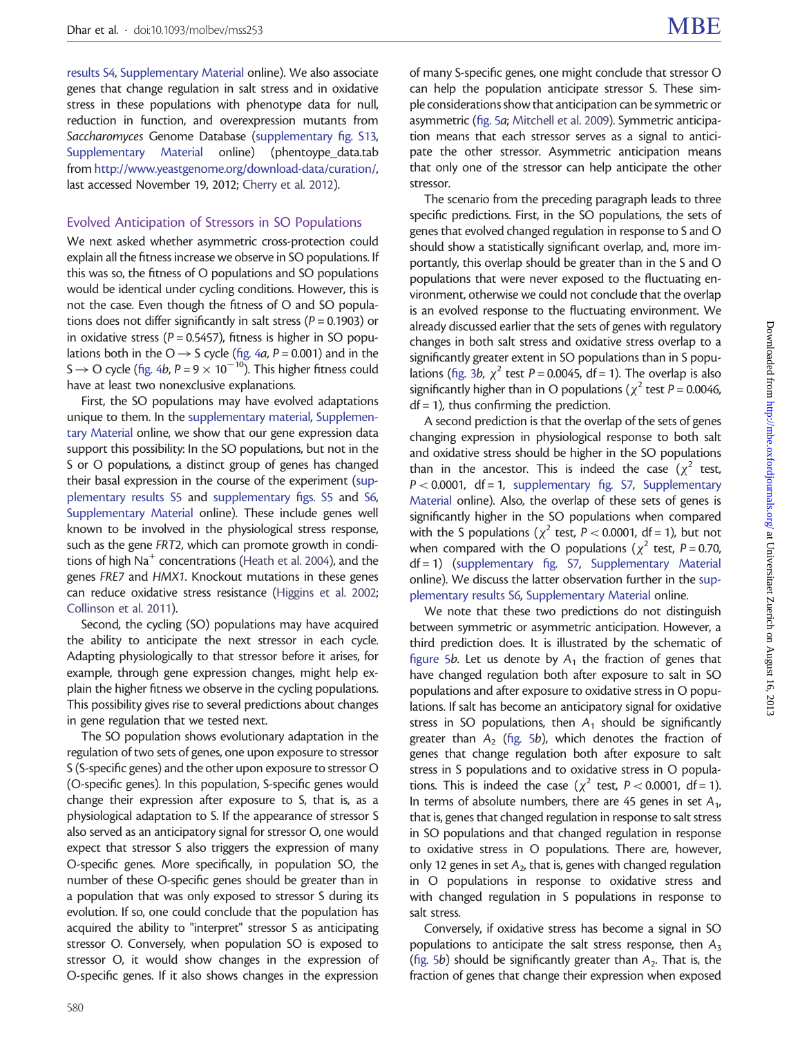[results S4,](http://mbe.oxfordjournals.org/lookup/suppl/doi:10.1093/molbev/mss253/-/DC1) [Supplementary Material](http://mbe.oxfordjournals.org/lookup/suppl/doi:10.1093/molbev/mss253/-/DC1) online). We also associate genes that change regulation in salt stress and in oxidative stress in these populations with phenotype data for null, reduction in function, and overexpression mutants from Saccharomyces Genome Database [\(supplementary fig. S13,](http://mbe.oxfordjournals.org/lookup/suppl/doi:10.1093/molbev/mss253/-/DC1) [Supplementary Material](http://mbe.oxfordjournals.org/lookup/suppl/doi:10.1093/molbev/mss253/-/DC1) online) (phentoype\_data.tab from [http://www.yeastgenome.org/download-data/curation/,](http://www.yeastgenome.org/download-data/curation/) last accessed November 19, 2012; [Cherry et al. 2012\)](#page-14-0).

#### Evolved Anticipation of Stressors in SO Populations

We next asked whether asymmetric cross-protection could explain all the fitness increase we observe in SO populations. If this was so, the fitness of O populations and SO populations would be identical under cycling conditions. However, this is not the case. Even though the fitness of O and SO populations does not differ significantly in salt stress ( $P = 0.1903$ ) or in oxidative stress ( $P = 0.5457$ ), fitness is higher in SO populations both in the  $O \rightarrow S$  cycle [\(fig. 4](#page-6-0)a, P = 0.001) and in the S  $\rightarrow$  O cycle [\(fig. 4](#page-6-0)b, P = 9  $\times$  10<sup>-10</sup>). This higher fitness could have at least two nonexclusive explanations.

First, the SO populations may have evolved adaptations unique to them. In the [supplementary material](http://mbe.oxfordjournals.org/lookup/suppl/doi:10.1093/molbev/mss253/-/DC1), [Supplemen](http://mbe.oxfordjournals.org/lookup/suppl/doi:10.1093/molbev/mss253/-/DC1)[tary Material](http://mbe.oxfordjournals.org/lookup/suppl/doi:10.1093/molbev/mss253/-/DC1) online, we show that our gene expression data support this possibility: In the SO populations, but not in the S or O populations, a distinct group of genes has changed their basal expression in the course of the experiment [\(sup](http://mbe.oxfordjournals.org/lookup/suppl/doi:10.1093/molbev/mss253/-/DC1)[plementary results S5](http://mbe.oxfordjournals.org/lookup/suppl/doi:10.1093/molbev/mss253/-/DC1) and [supplementary figs. S5](http://mbe.oxfordjournals.org/lookup/suppl/doi:10.1093/molbev/mss253/-/DC1) and [S6,](http://mbe.oxfordjournals.org/lookup/suppl/doi:10.1093/molbev/mss253/-/DC1) [Supplementary Material](http://mbe.oxfordjournals.org/lookup/suppl/doi:10.1093/molbev/mss253/-/DC1) online). These include genes well known to be involved in the physiological stress response, such as the gene FRT2, which can promote growth in conditions of high  $Na<sup>+</sup>$  concentrations ([Heath et al. 2004](#page-14-0)), and the genes FRE7 and HMX1. Knockout mutations in these genes can reduce oxidative stress resistance ([Higgins et al. 2002;](#page-14-0) [Collinson et al. 2011](#page-14-0)).

Second, the cycling (SO) populations may have acquired the ability to anticipate the next stressor in each cycle. Adapting physiologically to that stressor before it arises, for example, through gene expression changes, might help explain the higher fitness we observe in the cycling populations. This possibility gives rise to several predictions about changes in gene regulation that we tested next.

The SO population shows evolutionary adaptation in the regulation of two sets of genes, one upon exposure to stressor S (S-specific genes) and the other upon exposure to stressor O (O-specific genes). In this population, S-specific genes would change their expression after exposure to S, that is, as a physiological adaptation to S. If the appearance of stressor S also served as an anticipatory signal for stressor O, one would expect that stressor S also triggers the expression of many O-specific genes. More specifically, in population SO, the number of these O-specific genes should be greater than in a population that was only exposed to stressor S during its evolution. If so, one could conclude that the population has acquired the ability to "interpret" stressor S as anticipating stressor O. Conversely, when population SO is exposed to stressor O, it would show changes in the expression of O-specific genes. If it also shows changes in the expression

of many S-specific genes, one might conclude that stressor O can help the population anticipate stressor S. These simple considerations show that anticipation can be symmetric or asymmetric ([fig. 5](#page-8-0)a; [Mitchell et al. 2009\)](#page-15-0). Symmetric anticipation means that each stressor serves as a signal to anticipate the other stressor. Asymmetric anticipation means that only one of the stressor can help anticipate the other stressor.

The scenario from the preceding paragraph leads to three specific predictions. First, in the SO populations, the sets of genes that evolved changed regulation in response to S and O should show a statistically significant overlap, and, more importantly, this overlap should be greater than in the S and O populations that were never exposed to the fluctuating environment, otherwise we could not conclude that the overlap is an evolved response to the fluctuating environment. We already discussed earlier that the sets of genes with regulatory changes in both salt stress and oxidative stress overlap to a significantly greater extent in SO populations than in S popu-lations [\(fig. 3](#page-5-0)b,  $\chi^2$  test P = 0.0045, df = 1). The overlap is also significantly higher than in O populations ( $\chi^2$  test P = 0.0046,  $df = 1$ ), thus confirming the prediction.

A second prediction is that the overlap of the sets of genes changing expression in physiological response to both salt and oxidative stress should be higher in the SO populations than in the ancestor. This is indeed the case  $(\chi^2$  test,  $P < 0.0001$ , df = 1, [supplementary fig. S7,](http://mbe.oxfordjournals.org/lookup/suppl/doi:10.1093/molbev/mss253/-/DC1) [Supplementary](http://mbe.oxfordjournals.org/lookup/suppl/doi:10.1093/molbev/mss253/-/DC1) [Material](http://mbe.oxfordjournals.org/lookup/suppl/doi:10.1093/molbev/mss253/-/DC1) online). Also, the overlap of these sets of genes is significantly higher in the SO populations when compared with the S populations ( $\chi^2$  test, P < 0.0001, df = 1), but not when compared with the O populations ( $\chi^2$  test, P = 0.70, df = 1) ([supplementary fig. S7](http://mbe.oxfordjournals.org/lookup/suppl/doi:10.1093/molbev/mss253/-/DC1), [Supplementary Material](http://mbe.oxfordjournals.org/lookup/suppl/doi:10.1093/molbev/mss253/-/DC1) online). We discuss the latter observation further in the [sup](http://mbe.oxfordjournals.org/lookup/suppl/doi:10.1093/molbev/mss253/-/DC1)[plementary results S6,](http://mbe.oxfordjournals.org/lookup/suppl/doi:10.1093/molbev/mss253/-/DC1) [Supplementary Material](http://mbe.oxfordjournals.org/lookup/suppl/doi:10.1093/molbev/mss253/-/DC1) online.

We note that these two predictions do not distinguish between symmetric or asymmetric anticipation. However, a third prediction does. It is illustrated by the schematic of [figure 5](#page-8-0)b. Let us denote by  $A_1$  the fraction of genes that have changed regulation both after exposure to salt in SO populations and after exposure to oxidative stress in O populations. If salt has become an anticipatory signal for oxidative stress in SO populations, then  $A_1$  should be significantly greater than  $A_2$  ([fig. 5](#page-8-0)b), which denotes the fraction of genes that change regulation both after exposure to salt stress in S populations and to oxidative stress in O populations. This is indeed the case ( $\chi^2$  test, P < 0.0001, df = 1). In terms of absolute numbers, there are 45 genes in set  $A_1$ , that is, genes that changed regulation in response to salt stress in SO populations and that changed regulation in response to oxidative stress in O populations. There are, however, only 12 genes in set  $A_2$ , that is, genes with changed regulation in O populations in response to oxidative stress and with changed regulation in S populations in response to salt stress.

Conversely, if oxidative stress has become a signal in SO populations to anticipate the salt stress response, then  $A_3$ [\(fig. 5](#page-8-0)b) should be significantly greater than  $A_2$ . That is, the fraction of genes that change their expression when exposed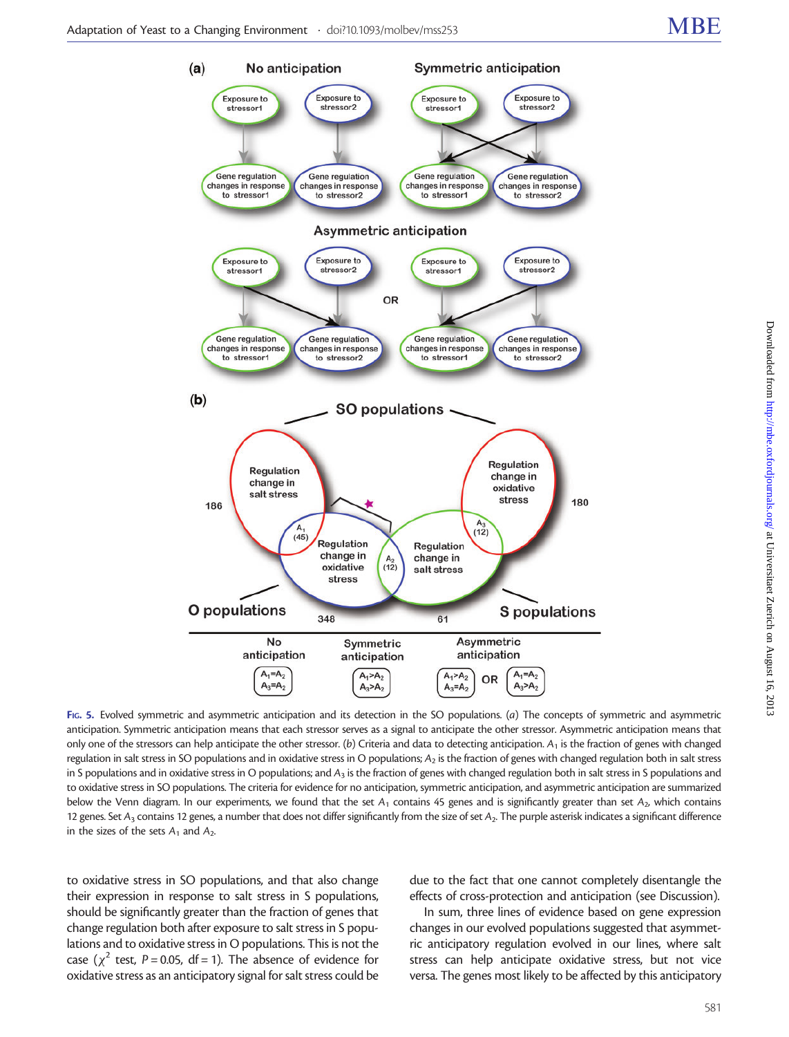<span id="page-8-0"></span>

FIG. 5. Evolved symmetric and asymmetric anticipation and its detection in the SO populations. (a) The concepts of symmetric and asymmetric anticipation. Symmetric anticipation means that each stressor serves as a signal to anticipate the other stressor. Asymmetric anticipation means that only one of the stressors can help anticipate the other stressor. (b) Criteria and data to detecting anticipation.  $A_1$  is the fraction of genes with changed regulation in salt stress in SO populations and in oxidative stress in O populations;  $A_2$  is the fraction of genes with changed regulation both in salt stress in S populations and in oxidative stress in O populations; and  $A_3$  is the fraction of genes with changed regulation both in salt stress in S populations and to oxidative stress in SO populations. The criteria for evidence for no anticipation, symmetric anticipation, and asymmetric anticipation are summarized below the Venn diagram. In our experiments, we found that the set  $A_1$  contains 45 genes and is significantly greater than set  $A_2$ , which contains 12 genes. Set  $A_3$  contains 12 genes, a number that does not differ significantly from the size of set  $A_2$ . The purple asterisk indicates a significant difference in the sizes of the sets  $A_1$  and  $A_2$ .

to oxidative stress in SO populations, and that also change their expression in response to salt stress in S populations, should be significantly greater than the fraction of genes that change regulation both after exposure to salt stress in S populations and to oxidative stress in O populations. This is not the case ( $\chi^2$  test, P = 0.05, df = 1). The absence of evidence for oxidative stress as an anticipatory signal for salt stress could be due to the fact that one cannot completely disentangle the effects of cross-protection and anticipation (see Discussion).

In sum, three lines of evidence based on gene expression changes in our evolved populations suggested that asymmetric anticipatory regulation evolved in our lines, where salt stress can help anticipate oxidative stress, but not vice versa. The genes most likely to be affected by this anticipatory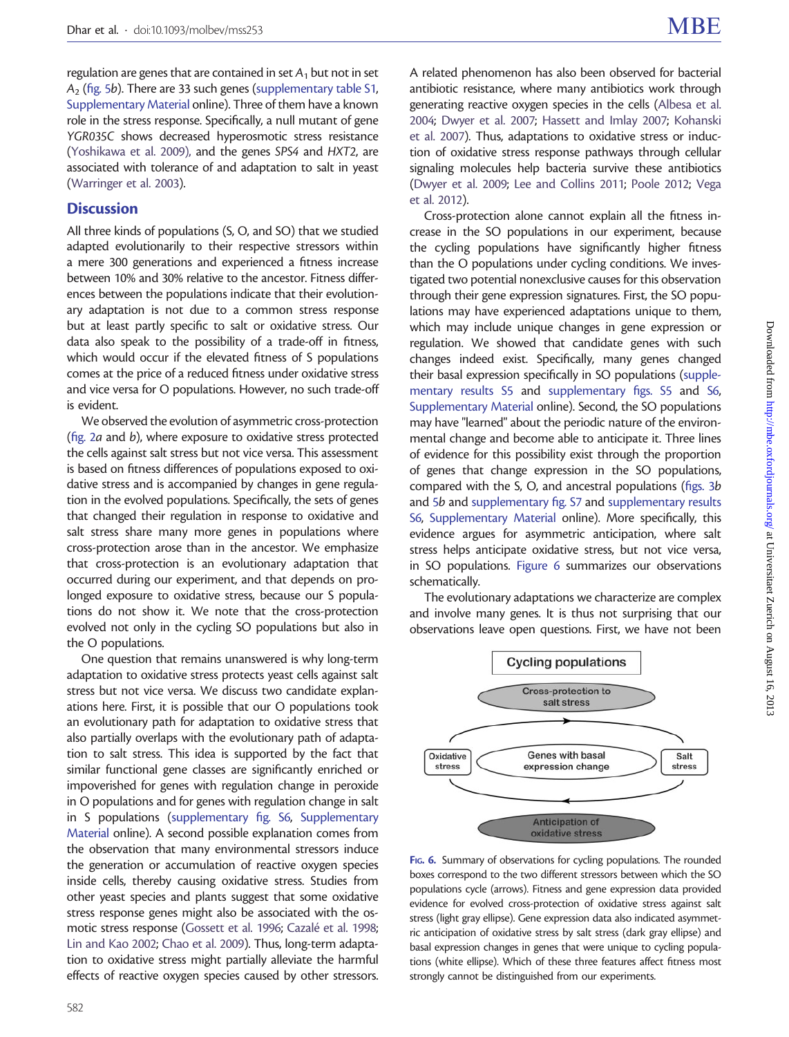regulation are genes that are contained in set  $A_1$  but not in set  $A<sub>2</sub>$  ([fig. 5](#page-8-0)b). There are 33 such genes [\(supplementary table S1,](http://mbe.oxfordjournals.org/lookup/suppl/doi:10.1093/molbev/mss253/-/DC1) [Supplementary Material](http://mbe.oxfordjournals.org/lookup/suppl/doi:10.1093/molbev/mss253/-/DC1) online). Three of them have a known role in the stress response. Specifically, a null mutant of gene YGR035C shows decreased hyperosmotic stress resistance ([Yoshikawa et al. 2009\),](#page-15-0) and the genes SPS4 and HXT2, are associated with tolerance of and adaptation to salt in yeast ([Warringer et al. 2003](#page-15-0)).

# **Discussion**

All three kinds of populations (S, O, and SO) that we studied adapted evolutionarily to their respective stressors within a mere 300 generations and experienced a fitness increase between 10% and 30% relative to the ancestor. Fitness differences between the populations indicate that their evolutionary adaptation is not due to a common stress response but at least partly specific to salt or oxidative stress. Our data also speak to the possibility of a trade-off in fitness, which would occur if the elevated fitness of S populations comes at the price of a reduced fitness under oxidative stress and vice versa for O populations. However, no such trade-off is evident.

We observed the evolution of asymmetric cross-protection ([fig. 2](#page-3-0)a and b), where exposure to oxidative stress protected the cells against salt stress but not vice versa. This assessment is based on fitness differences of populations exposed to oxidative stress and is accompanied by changes in gene regulation in the evolved populations. Specifically, the sets of genes that changed their regulation in response to oxidative and salt stress share many more genes in populations where cross-protection arose than in the ancestor. We emphasize that cross-protection is an evolutionary adaptation that occurred during our experiment, and that depends on prolonged exposure to oxidative stress, because our S populations do not show it. We note that the cross-protection evolved not only in the cycling SO populations but also in the O populations.

One question that remains unanswered is why long-term adaptation to oxidative stress protects yeast cells against salt stress but not vice versa. We discuss two candidate explanations here. First, it is possible that our O populations took an evolutionary path for adaptation to oxidative stress that also partially overlaps with the evolutionary path of adaptation to salt stress. This idea is supported by the fact that similar functional gene classes are significantly enriched or impoverished for genes with regulation change in peroxide in O populations and for genes with regulation change in salt in S populations [\(supplementary fig. S6](http://mbe.oxfordjournals.org/lookup/suppl/doi:10.1093/molbev/mss253/-/DC1), [Supplementary](http://mbe.oxfordjournals.org/lookup/suppl/doi:10.1093/molbev/mss253/-/DC1) [Material](http://mbe.oxfordjournals.org/lookup/suppl/doi:10.1093/molbev/mss253/-/DC1) online). A second possible explanation comes from the observation that many environmental stressors induce the generation or accumulation of reactive oxygen species inside cells, thereby causing oxidative stress. Studies from other yeast species and plants suggest that some oxidative stress response genes might also be associated with the os-motic stress response [\(Gossett et al. 1996](#page-14-0); Cazalé [et al. 1998;](#page-14-0) [Lin and Kao 2002;](#page-14-0) [Chao et al. 2009](#page-14-0)). Thus, long-term adaptation to oxidative stress might partially alleviate the harmful effects of reactive oxygen species caused by other stressors.

A related phenomenon has also been observed for bacterial antibiotic resistance, where many antibiotics work through generating reactive oxygen species in the cells ([Albesa et al.](#page-13-0) [2004;](#page-13-0) [Dwyer et al. 2007;](#page-14-0) [Hassett and Imlay 2007](#page-14-0); [Kohanski](#page-14-0) [et al. 2007\)](#page-14-0). Thus, adaptations to oxidative stress or induction of oxidative stress response pathways through cellular signaling molecules help bacteria survive these antibiotics [\(Dwyer et al. 2009;](#page-14-0) [Lee and Collins 2011](#page-14-0); [Poole 2012](#page-15-0); [Vega](#page-15-0) [et al. 2012](#page-15-0)).

Cross-protection alone cannot explain all the fitness increase in the SO populations in our experiment, because the cycling populations have significantly higher fitness than the O populations under cycling conditions. We investigated two potential nonexclusive causes for this observation through their gene expression signatures. First, the SO populations may have experienced adaptations unique to them, which may include unique changes in gene expression or regulation. We showed that candidate genes with such changes indeed exist. Specifically, many genes changed their basal expression specifically in SO populations [\(supple](http://mbe.oxfordjournals.org/lookup/suppl/doi:10.1093/molbev/mss253/-/DC1)[mentary results S5](http://mbe.oxfordjournals.org/lookup/suppl/doi:10.1093/molbev/mss253/-/DC1) and [supplementary figs. S5](http://mbe.oxfordjournals.org/lookup/suppl/doi:10.1093/molbev/mss253/-/DC1) and [S6,](http://mbe.oxfordjournals.org/lookup/suppl/doi:10.1093/molbev/mss253/-/DC1) [Supplementary Material](http://mbe.oxfordjournals.org/lookup/suppl/doi:10.1093/molbev/mss253/-/DC1) online). Second, the SO populations may have "learned" about the periodic nature of the environmental change and become able to anticipate it. Three lines of evidence for this possibility exist through the proportion of genes that change expression in the SO populations, compared with the S, O, and ancestral populations [\(figs. 3](#page-5-0)b and [5](#page-8-0)b and [supplementary fig. S7](http://mbe.oxfordjournals.org/lookup/suppl/doi:10.1093/molbev/mss253/-/DC1) and [supplementary results](http://mbe.oxfordjournals.org/lookup/suppl/doi:10.1093/molbev/mss253/-/DC1) [S6](http://mbe.oxfordjournals.org/lookup/suppl/doi:10.1093/molbev/mss253/-/DC1), [Supplementary Material](http://mbe.oxfordjournals.org/lookup/suppl/doi:10.1093/molbev/mss253/-/DC1) online). More specifically, this evidence argues for asymmetric anticipation, where salt stress helps anticipate oxidative stress, but not vice versa, in SO populations. Figure 6 summarizes our observations schematically.

The evolutionary adaptations we characterize are complex and involve many genes. It is thus not surprising that our observations leave open questions. First, we have not been



FIG. 6. Summary of observations for cycling populations. The rounded boxes correspond to the two different stressors between which the SO populations cycle (arrows). Fitness and gene expression data provided evidence for evolved cross-protection of oxidative stress against salt stress (light gray ellipse). Gene expression data also indicated asymmetric anticipation of oxidative stress by salt stress (dark gray ellipse) and basal expression changes in genes that were unique to cycling populations (white ellipse). Which of these three features affect fitness most strongly cannot be distinguished from our experiments.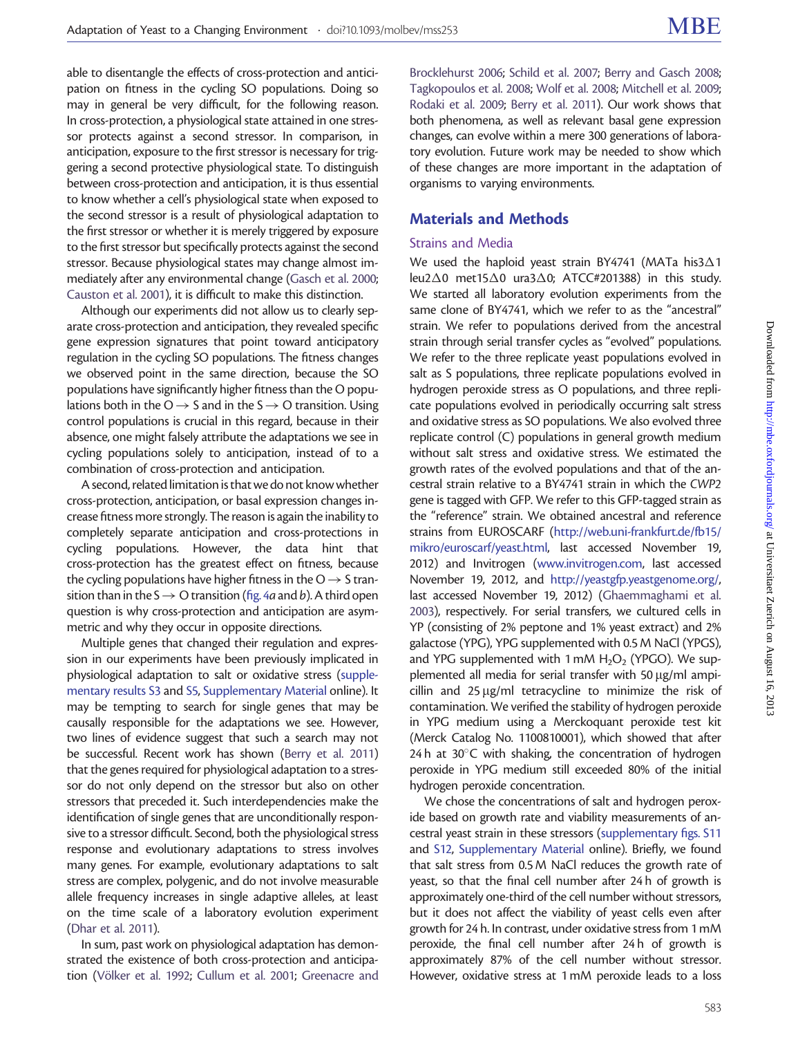able to disentangle the effects of cross-protection and anticipation on fitness in the cycling SO populations. Doing so may in general be very difficult, for the following reason. In cross-protection, a physiological state attained in one stressor protects against a second stressor. In comparison, in anticipation, exposure to the first stressor is necessary for triggering a second protective physiological state. To distinguish between cross-protection and anticipation, it is thus essential to know whether a cell's physiological state when exposed to the second stressor is a result of physiological adaptation to the first stressor or whether it is merely triggered by exposure to the first stressor but specifically protects against the second stressor. Because physiological states may change almost immediately after any environmental change [\(Gasch et al. 2000;](#page-14-0) [Causton et al. 2001\)](#page-13-0), it is difficult to make this distinction.

Although our experiments did not allow us to clearly separate cross-protection and anticipation, they revealed specific gene expression signatures that point toward anticipatory regulation in the cycling SO populations. The fitness changes we observed point in the same direction, because the SO populations have significantly higher fitness than the O populations both in the  $O \rightarrow S$  and in the  $S \rightarrow O$  transition. Using control populations is crucial in this regard, because in their absence, one might falsely attribute the adaptations we see in cycling populations solely to anticipation, instead of to a combination of cross-protection and anticipation.

A second, related limitation is that we do not know whether cross-protection, anticipation, or basal expression changes increase fitness more strongly. The reason is again the inability to completely separate anticipation and cross-protections in cycling populations. However, the data hint that cross-protection has the greatest effect on fitness, because the cycling populations have higher fitness in the  $O \rightarrow S$  transition than in the  $S \rightarrow O$  transition [\(fig. 4](#page-6-0)a and b). A third open question is why cross-protection and anticipation are asymmetric and why they occur in opposite directions.

Multiple genes that changed their regulation and expression in our experiments have been previously implicated in physiological adaptation to salt or oxidative stress [\(supple](http://mbe.oxfordjournals.org/lookup/suppl/doi:10.1093/molbev/mss253/-/DC1)[mentary results S3](http://mbe.oxfordjournals.org/lookup/suppl/doi:10.1093/molbev/mss253/-/DC1) and [S5](http://mbe.oxfordjournals.org/lookup/suppl/doi:10.1093/molbev/mss253/-/DC1), [Supplementary Material](http://mbe.oxfordjournals.org/lookup/suppl/doi:10.1093/molbev/mss253/-/DC1) online). It may be tempting to search for single genes that may be causally responsible for the adaptations we see. However, two lines of evidence suggest that such a search may not be successful. Recent work has shown ([Berry et al. 2011](#page-13-0)) that the genes required for physiological adaptation to a stressor do not only depend on the stressor but also on other stressors that preceded it. Such interdependencies make the identification of single genes that are unconditionally responsive to a stressor difficult. Second, both the physiological stress response and evolutionary adaptations to stress involves many genes. For example, evolutionary adaptations to salt stress are complex, polygenic, and do not involve measurable allele frequency increases in single adaptive alleles, at least on the time scale of a laboratory evolution experiment ([Dhar et al. 2011\)](#page-14-0).

In sum, past work on physiological adaptation has demonstrated the existence of both cross-protection and anticipa-tion (Völker et al. 1992; [Cullum et al. 2001](#page-14-0); [Greenacre and](#page-14-0)

[Brocklehurst 2006](#page-14-0); [Schild et al. 2007](#page-15-0); [Berry and Gasch 2008;](#page-13-0) [Tagkopoulos et al. 2008](#page-15-0); [Wolf et al. 2008](#page-15-0); [Mitchell et al. 2009;](#page-15-0) [Rodaki et al. 2009](#page-15-0); [Berry et al. 2011](#page-13-0)). Our work shows that both phenomena, as well as relevant basal gene expression changes, can evolve within a mere 300 generations of laboratory evolution. Future work may be needed to show which of these changes are more important in the adaptation of organisms to varying environments.

#### Materials and Methods

#### Strains and Media

We used the haploid yeast strain BY4741 (MATa his $3\Delta$ 1 leu2 $\Delta$ 0 met15 $\Delta$ 0 ura3 $\Delta$ 0; ATCC#201388) in this study. We started all laboratory evolution experiments from the same clone of BY4741, which we refer to as the "ancestral" strain. We refer to populations derived from the ancestral strain through serial transfer cycles as "evolved" populations. We refer to the three replicate yeast populations evolved in salt as S populations, three replicate populations evolved in hydrogen peroxide stress as O populations, and three replicate populations evolved in periodically occurring salt stress and oxidative stress as SO populations. We also evolved three replicate control (C) populations in general growth medium without salt stress and oxidative stress. We estimated the growth rates of the evolved populations and that of the ancestral strain relative to a BY4741 strain in which the CWP2 gene is tagged with GFP. We refer to this GFP-tagged strain as the "reference" strain. We obtained ancestral and reference strains from EUROSCARF [\(http://web.uni-frankfurt.de/fb15/](http://web.uni-frankfurt.de/fb15/mikro/euroscarf/yeast.html) [mikro/euroscarf/yeast.html](http://web.uni-frankfurt.de/fb15/mikro/euroscarf/yeast.html), last accessed November 19, 2012) and Invitrogen (<www.invitrogen.com>, last accessed November 19, 2012, and [http://yeastgfp.yeastgenome.org/,](http://yeastgfp.yeastgenome.org/) last accessed November 19, 2012) [\(Ghaemmaghami et al.](#page-14-0) [2003\)](#page-14-0), respectively. For serial transfers, we cultured cells in YP (consisting of 2% peptone and 1% yeast extract) and 2% galactose (YPG), YPG supplemented with 0.5 M NaCl (YPGS), and YPG supplemented with 1 mM  $H_2O_2$  (YPGO). We supplemented all media for serial transfer with 50 µg/ml ampicillin and  $25 \mu g/ml$  tetracycline to minimize the risk of contamination. We verified the stability of hydrogen peroxide in YPG medium using a Merckoquant peroxide test kit (Merck Catalog No. 1100810001), which showed that after 24 h at  $30^{\circ}$ C with shaking, the concentration of hydrogen peroxide in YPG medium still exceeded 80% of the initial hydrogen peroxide concentration.

We chose the concentrations of salt and hydrogen peroxide based on growth rate and viability measurements of ancestral yeast strain in these stressors ([supplementary figs. S11](http://mbe.oxfordjournals.org/lookup/suppl/doi:10.1093/molbev/mss253/-/DC1) and [S12](http://mbe.oxfordjournals.org/lookup/suppl/doi:10.1093/molbev/mss253/-/DC1), [Supplementary Material](http://mbe.oxfordjournals.org/lookup/suppl/doi:10.1093/molbev/mss253/-/DC1) online). Briefly, we found that salt stress from 0.5 M NaCl reduces the growth rate of yeast, so that the final cell number after 24 h of growth is approximately one-third of the cell number without stressors, but it does not affect the viability of yeast cells even after growth for 24 h. In contrast, under oxidative stress from 1 mM peroxide, the final cell number after 24 h of growth is approximately 87% of the cell number without stressor. However, oxidative stress at 1 mM peroxide leads to a loss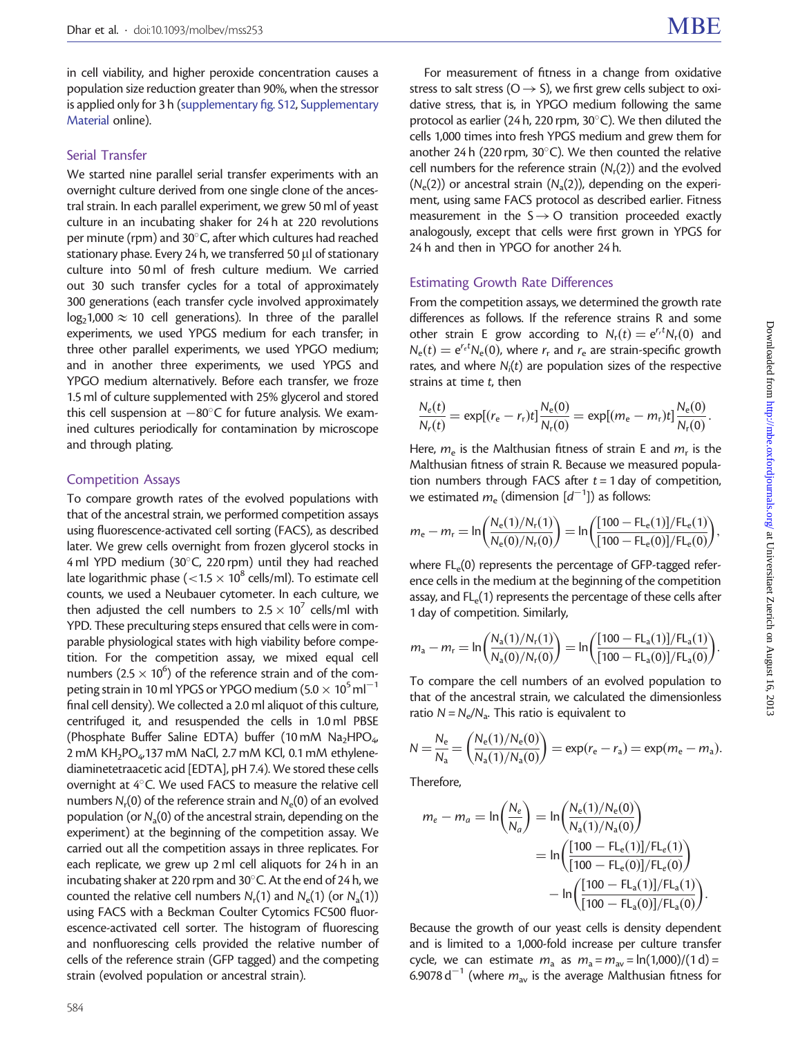in cell viability, and higher peroxide concentration causes a population size reduction greater than 90%, when the stressor is applied only for 3 h ([supplementary fig. S12](http://mbe.oxfordjournals.org/lookup/suppl/doi:10.1093/molbev/mss253/-/DC1), [Supplementary](http://mbe.oxfordjournals.org/lookup/suppl/doi:10.1093/molbev/mss253/-/DC1) [Material](http://mbe.oxfordjournals.org/lookup/suppl/doi:10.1093/molbev/mss253/-/DC1) online).

#### Serial Transfer

We started nine parallel serial transfer experiments with an overnight culture derived from one single clone of the ancestral strain. In each parallel experiment, we grew 50 ml of yeast culture in an incubating shaker for 24 h at 220 revolutions per minute (rpm) and  $30^{\circ}$ C, after which cultures had reached stationary phase. Every 24 h, we transferred 50  $\mu$ l of stationary culture into 50 ml of fresh culture medium. We carried out 30 such transfer cycles for a total of approximately 300 generations (each transfer cycle involved approximately  $log_2 1,000 \approx 10$  cell generations). In three of the parallel experiments, we used YPGS medium for each transfer; in three other parallel experiments, we used YPGO medium; and in another three experiments, we used YPGS and YPGO medium alternatively. Before each transfer, we froze 1.5 ml of culture supplemented with 25% glycerol and stored this cell suspension at  $-80^{\circ}$ C for future analysis. We examined cultures periodically for contamination by microscope and through plating.

#### Competition Assays

To compare growth rates of the evolved populations with that of the ancestral strain, we performed competition assays using fluorescence-activated cell sorting (FACS), as described later. We grew cells overnight from frozen glycerol stocks in 4 ml YPD medium (30 $^{\circ}$ C, 220 rpm) until they had reached late logarithmic phase ( $<$ 1.5  $\times$  10<sup>8</sup> cells/ml). To estimate cell counts, we used a Neubauer cytometer. In each culture, we then adjusted the cell numbers to  $2.5 \times 10^7$  cells/ml with YPD. These preculturing steps ensured that cells were in comparable physiological states with high viability before competition. For the competition assay, we mixed equal cell numbers ( $2.5 \times 10^6$ ) of the reference strain and of the competing strain in 10 ml YPGS or YPGO medium (5.0  $\times$  10<sup>5</sup> ml $^{-1}$ final cell density). We collected a 2.0 ml aliquot of this culture, centrifuged it, and resuspended the cells in 1.0 ml PBSE (Phosphate Buffer Saline EDTA) buffer (10 mM  $Na<sub>2</sub>HPO<sub>4</sub>$ , 2 mM KH<sub>2</sub>PO<sub>4</sub>,137 mM NaCl, 2.7 mM KCl, 0.1 mM ethylenediaminetetraacetic acid [EDTA], pH 7.4). We stored these cells overnight at  $4^{\circ}$ C. We used FACS to measure the relative cell numbers  $N_r(0)$  of the reference strain and  $N_e(0)$  of an evolved population (or  $N_a(0)$  of the ancestral strain, depending on the experiment) at the beginning of the competition assay. We carried out all the competition assays in three replicates. For each replicate, we grew up 2 ml cell aliquots for 24 h in an incubating shaker at 220 rpm and 30 $^{\circ}$ C. At the end of 24 h, we counted the relative cell numbers  $N_r(1)$  and  $N_e(1)$  (or  $N_a(1)$ ) using FACS with a Beckman Coulter Cytomics FC500 fluorescence-activated cell sorter. The histogram of fluorescing and nonfluorescing cells provided the relative number of cells of the reference strain (GFP tagged) and the competing strain (evolved population or ancestral strain).

For measurement of fitness in a change from oxidative stress to salt stress ( $O \rightarrow S$ ), we first grew cells subject to oxidative stress, that is, in YPGO medium following the same protocol as earlier (24 h, 220 rpm, 30 $^{\circ}$ C). We then diluted the cells 1,000 times into fresh YPGS medium and grew them for another 24 h (220 rpm,  $30^{\circ}$ C). We then counted the relative cell numbers for the reference strain  $(N<sub>r</sub>(2))$  and the evolved  $(N_e(2))$  or ancestral strain  $(N_a(2))$ , depending on the experiment, using same FACS protocol as described earlier. Fitness measurement in the  $S \rightarrow O$  transition proceeded exactly analogously, except that cells were first grown in YPGS for 24 h and then in YPGO for another 24 h.

# Estimating Growth Rate Differences

From the competition assays, we determined the growth rate differences as follows. If the reference strains R and some other strain E grow according to  $N_r(t) = e^{r_r t} N_r(0)$  and  $N_e(t) = e^{r_e t} N_e(0)$ , where  $r_r$  and  $r_e$  are strain-specific growth rates, and where  $N_i(t)$  are population sizes of the respective strains at time  $t$ , then

$$
\frac{N_e(t)}{N_r(t)} = \exp[(r_e - r_r)t] \frac{N_e(0)}{N_r(0)} = \exp[(m_e - m_r)t] \frac{N_e(0)}{N_r(0)}.
$$

Here,  $m_e$  is the Malthusian fitness of strain E and  $m_r$  is the Malthusian fitness of strain R. Because we measured population numbers through FACS after  $t = 1$  day of competition, we estimated  $m_e$  (dimension  $[d^{-1}]$ ) as follows:

$$
m_e - m_r = \ln\left(\frac{N_e(1)/N_r(1)}{N_e(0)/N_r(0)}\right) = \ln\left(\frac{[100 - FL_e(1)]/FL_e(1)}{[100 - FL_e(0)]/FL_e(0)}\right),
$$

where  $FL<sub>e</sub>(0)$  represents the percentage of GFP-tagged reference cells in the medium at the beginning of the competition assay, and  $FL<sub>e</sub>(1)$  represents the percentage of these cells after 1 day of competition. Similarly,

$$
m_a - m_r = \ln\left(\frac{N_a(1)/N_r(1)}{N_a(0)/N_r(0)}\right) = \ln\left(\frac{[100 - FL_a(1)]/FL_a(1)}{[100 - FL_a(0)]/FL_a(0)}\right).
$$

To compare the cell numbers of an evolved population to that of the ancestral strain, we calculated the dimensionless ratio  $N = N_e/N_a$ . This ratio is equivalent to

$$
N = \frac{N_e}{N_a} = \left(\frac{N_e(1)/N_e(0)}{N_a(1)/N_a(0)}\right) = \exp(r_e - r_a) = \exp(m_e - m_a).
$$

Therefore,

$$
m_e - m_a = \ln\left(\frac{N_e}{N_a}\right) = \ln\left(\frac{N_e(1)/N_e(0)}{N_a(1)/N_a(0)}\right)
$$
  
= 
$$
\ln\left(\frac{[100 - FL_e(1)]/FL_e(1)}{[100 - FL_e(0)]/FL_e(0)}\right)
$$
  
- 
$$
\ln\left(\frac{[100 - FL_a(1)]/FL_a(1)}{[100 - FL_a(0)]/FL_a(0)}\right).
$$

Because the growth of our yeast cells is density dependent and is limited to a 1,000-fold increase per culture transfer cycle, we can estimate  $m_a$  as  $m_a = m_{av} = \ln(1,000)/(1 \text{ d}) =$  $6.9078 d^{-1}$  (where  $m_{av}$  is the average Malthusian fitness for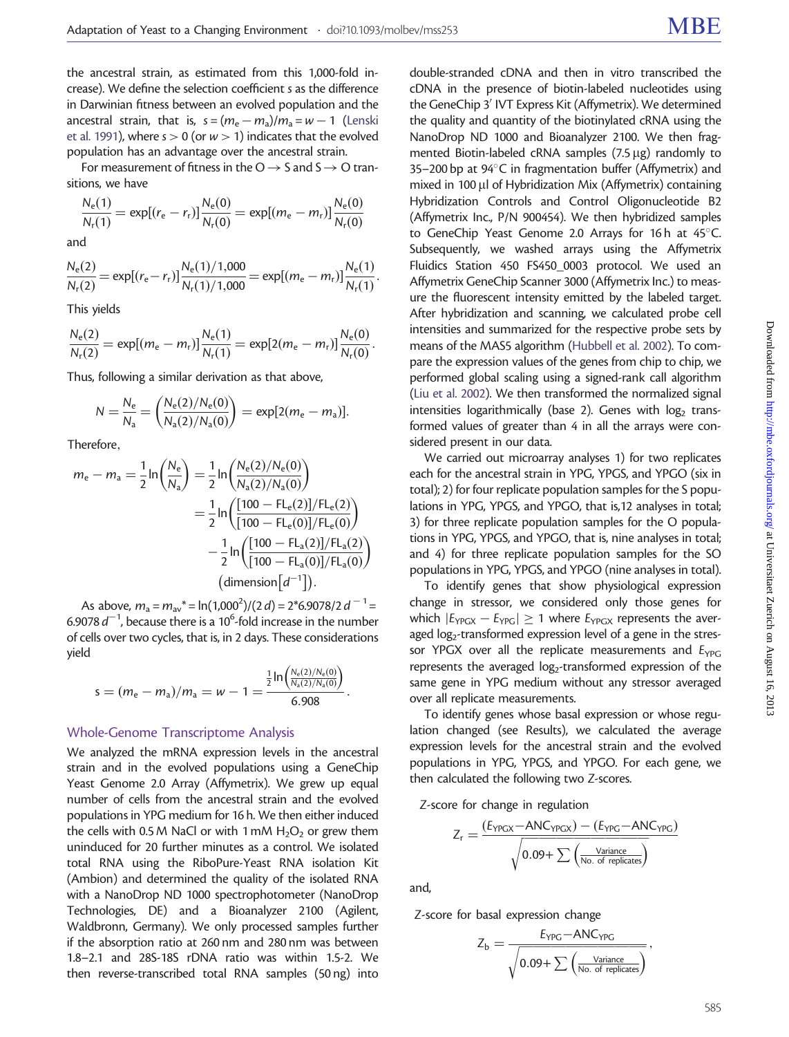the ancestral strain, as estimated from this 1,000-fold increase). We define the selection coefficient s as the difference in Darwinian fitness between an evolved population and the ancestral strain, that is,  $s = (m_e - m_a)/m_a = w - 1$  [\(Lenski](#page-14-0) [et al. 1991](#page-14-0)), where  $s > 0$  (or  $w > 1$ ) indicates that the evolved population has an advantage over the ancestral strain.

For measurement of fitness in the  $O \rightarrow S$  and  $S \rightarrow O$  transitions, we have

$$
\frac{N_e(1)}{N_r(1)} = \exp[(r_e - r_r)] \frac{N_e(0)}{N_r(0)} = \exp[(m_e - m_r)] \frac{N_e(0)}{N_r(0)}
$$

and

$$
\frac{N_e(2)}{N_r(2)} = \exp[(r_e - r_r)] \frac{N_e(1)/1,000}{N_r(1)/1,000} = \exp[(m_e - m_r)] \frac{N_e(1)}{N_r(1)}
$$

:

This yields

$$
\frac{N_e(2)}{N_r(2)} = \exp[(m_e - m_r)] \frac{N_e(1)}{N_r(1)} = \exp[2(m_e - m_r)] \frac{N_e(0)}{N_r(0)}.
$$

Thus, following a similar derivation as that above,

$$
N = \frac{N_e}{N_a} = \left(\frac{N_e(2)/N_e(0)}{N_a(2)/N_a(0)}\right) = \exp[2(m_e - m_a)].
$$

Therefore;

$$
\begin{aligned} m_e - m_a &= \frac{1}{2} \ln \left( \frac{N_e}{N_a} \right) = \frac{1}{2} \ln \left( \frac{N_e(2)/N_e(0)}{N_a(2)/N_a(0)} \right) \\ &= \frac{1}{2} \ln \left( \frac{[100 - FL_e(2)]/FL_e(2)}{[100 - FL_e(0)]/FL_e(0)} \right) \\ &- \frac{1}{2} \ln \left( \frac{[100 - FL_a(2)]/FL_a(2)}{[100 - FL_a(0)]/FL_a(0)} \right) \\ &\quad \left(\text{dimension}\left[d^{-1}\right]\right). \end{aligned}
$$

As above,  $m_a = m_{av}^* = \ln(1,000^2)/(2 d) = 2*6.9078/2 d^{-1} =$  $6.9078 d^{-1}$ , because there is a 10<sup>6</sup>-fold increase in the number of cells over two cycles, that is, in 2 days. These considerations yield

$$
s = (m_e - m_a)/m_a = w - 1 = \frac{\frac{1}{2} \ln \left( \frac{N_e(2)/N_e(0)}{N_a(2)/N_a(0)} \right)}{6.908}.
$$

#### Whole-Genome Transcriptome Analysis

We analyzed the mRNA expression levels in the ancestral strain and in the evolved populations using a GeneChip Yeast Genome 2.0 Array (Affymetrix). We grew up equal number of cells from the ancestral strain and the evolved populations in YPG medium for 16 h. We then either induced the cells with 0.5 M NaCl or with 1 mM  $H_2O_2$  or grew them uninduced for 20 further minutes as a control. We isolated total RNA using the RiboPure-Yeast RNA isolation Kit (Ambion) and determined the quality of the isolated RNA with a NanoDrop ND 1000 spectrophotometer (NanoDrop Technologies, DE) and a Bioanalyzer 2100 (Agilent, Waldbronn, Germany). We only processed samples further if the absorption ratio at 260 nm and 280 nm was between 1.8–2.1 and 28S-18S rDNA ratio was within 1.5-2. We then reverse-transcribed total RNA samples (50 ng) into

double-stranded cDNA and then in vitro transcribed the cDNA in the presence of biotin-labeled nucleotides using the GeneChip 3' IVT Express Kit (Affymetrix). We determined the quality and quantity of the biotinylated cRNA using the NanoDrop ND 1000 and Bioanalyzer 2100. We then fragmented Biotin-labeled cRNA samples  $(7.5 \mu g)$  randomly to 35–200 bp at  $94^{\circ}$ C in fragmentation buffer (Affymetrix) and  $mixed$  in 100  $\mu$ l of Hybridization Mix (Affymetrix) containing Hybridization Controls and Control Oligonucleotide B2 (Affymetrix Inc., P/N 900454). We then hybridized samples to GeneChip Yeast Genome 2.0 Arrays for 16h at  $45^{\circ}$ C. Subsequently, we washed arrays using the Affymetrix Fluidics Station 450 FS450\_0003 protocol. We used an Affymetrix GeneChip Scanner 3000 (Affymetrix Inc.) to measure the fluorescent intensity emitted by the labeled target. After hybridization and scanning, we calculated probe cell intensities and summarized for the respective probe sets by means of the MAS5 algorithm [\(Hubbell et al. 2002\)](#page-14-0). To compare the expression values of the genes from chip to chip, we performed global scaling using a signed-rank call algorithm [\(Liu et al. 2002](#page-14-0)). We then transformed the normalized signal intensities logarithmically (base 2). Genes with  $log<sub>2</sub>$  transformed values of greater than 4 in all the arrays were considered present in our data.

We carried out microarray analyses 1) for two replicates each for the ancestral strain in YPG, YPGS, and YPGO (six in total); 2) for four replicate population samples for the S populations in YPG, YPGS, and YPGO, that is,12 analyses in total; 3) for three replicate population samples for the O populations in YPG, YPGS, and YPGO, that is, nine analyses in total; and 4) for three replicate population samples for the SO populations in YPG, YPGS, and YPGO (nine analyses in total).

To identify genes that show physiological expression change in stressor, we considered only those genes for which  $|E_{YPGX} - E_{YPG}| \ge 1$  where  $E_{YPGX}$  represents the averaged log<sub>2</sub>-transformed expression level of a gene in the stressor YPGX over all the replicate measurements and  $E_{YPG}$ represents the averaged  $log<sub>2</sub>$ -transformed expression of the same gene in YPG medium without any stressor averaged over all replicate measurements.

To identify genes whose basal expression or whose regulation changed (see Results), we calculated the average expression levels for the ancestral strain and the evolved populations in YPG, YPGS, and YPGO. For each gene, we then calculated the following two Z-scores.

Z-score for change in regulation

$$
Z_r = \frac{(E_{YPCX} - \text{ANC}_{YPCX}) - (E_{YPC} - \text{ANC}_{YPC})}{\sqrt{0.09 + \sum \left(\frac{Variance}{No. of replicates}\right)}}
$$

and,

Z-score for basal expression change

$$
Z_b = \frac{E_{\gamma PG} - \text{ANC}_{\gamma PG}}{\sqrt{0.09 + \sum \left(\frac{Variance}{No. of replicates}\right)}},
$$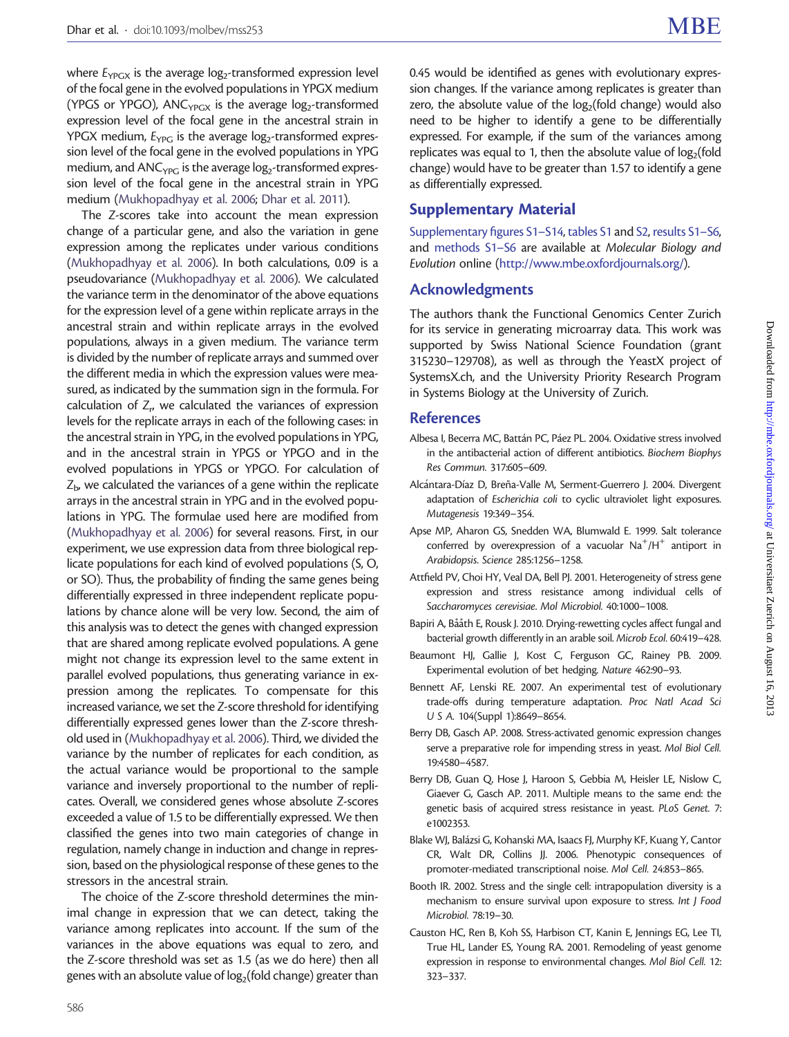<span id="page-13-0"></span>where  $E_{YPCX}$  is the average log<sub>2</sub>-transformed expression level of the focal gene in the evolved populations in YPGX medium (YPGS or YPGO), ANC $_{YPCX}$  is the average log<sub>2</sub>-transformed expression level of the focal gene in the ancestral strain in YPGX medium,  $E_{YPG}$  is the average  $log_2$ -transformed expression level of the focal gene in the evolved populations in YPG medium, and  $\text{ANC}_{\text{YPC}}$  is the average log<sub>2</sub>-transformed expression level of the focal gene in the ancestral strain in YPG medium [\(Mukhopadhyay et al. 2006;](#page-15-0) [Dhar et al. 2011](#page-14-0)).

The Z-scores take into account the mean expression change of a particular gene, and also the variation in gene expression among the replicates under various conditions ([Mukhopadhyay et al. 2006\)](#page-15-0). In both calculations, 0.09 is a pseudovariance [\(Mukhopadhyay et al. 2006\)](#page-15-0). We calculated the variance term in the denominator of the above equations for the expression level of a gene within replicate arrays in the ancestral strain and within replicate arrays in the evolved populations, always in a given medium. The variance term is divided by the number of replicate arrays and summed over the different media in which the expression values were measured, as indicated by the summation sign in the formula. For calculation of  $Z<sub>n</sub>$  we calculated the variances of expression levels for the replicate arrays in each of the following cases: in the ancestral strain in YPG, in the evolved populations in YPG, and in the ancestral strain in YPGS or YPGO and in the evolved populations in YPGS or YPGO. For calculation of  $Z_{b}$ , we calculated the variances of a gene within the replicate arrays in the ancestral strain in YPG and in the evolved populations in YPG. The formulae used here are modified from ([Mukhopadhyay et al. 2006\)](#page-15-0) for several reasons. First, in our experiment, we use expression data from three biological replicate populations for each kind of evolved populations (S, O, or SO). Thus, the probability of finding the same genes being differentially expressed in three independent replicate populations by chance alone will be very low. Second, the aim of this analysis was to detect the genes with changed expression that are shared among replicate evolved populations. A gene might not change its expression level to the same extent in parallel evolved populations, thus generating variance in expression among the replicates. To compensate for this increased variance, we set the Z-score threshold for identifying differentially expressed genes lower than the Z-score threshold used in [\(Mukhopadhyay et al. 2006](#page-15-0)). Third, we divided the variance by the number of replicates for each condition, as the actual variance would be proportional to the sample variance and inversely proportional to the number of replicates. Overall, we considered genes whose absolute Z-scores exceeded a value of 1.5 to be differentially expressed. We then classified the genes into two main categories of change in regulation, namely change in induction and change in repression, based on the physiological response of these genes to the stressors in the ancestral strain.

The choice of the Z-score threshold determines the minimal change in expression that we can detect, taking the variance among replicates into account. If the sum of the variances in the above equations was equal to zero, and the Z-score threshold was set as 1.5 (as we do here) then all genes with an absolute value of  $log<sub>2</sub>(fold change)$  greater than

0.45 would be identified as genes with evolutionary expression changes. If the variance among replicates is greater than zero, the absolute value of the  $log<sub>2</sub>(fold change)$  would also need to be higher to identify a gene to be differentially expressed. For example, if the sum of the variances among replicates was equal to 1, then the absolute value of  $log<sub>2</sub>(fold)$ change) would have to be greater than 1.57 to identify a gene as differentially expressed.

### Supplementary Material

Supplementary figures S1-S14, [tables S1](http://mbe.oxfordjournals.org/lookup/suppl/doi:10.1093/molbev/mss253/-/DC1) and [S2](http://mbe.oxfordjournals.org/lookup/suppl/doi:10.1093/molbev/mss253/-/DC1), results S1-S6, and [methods S1–S6](http://mbe.oxfordjournals.org/lookup/suppl/doi:10.1093/molbev/mss253/-/DC1) are available at Molecular Biology and Evolution online [\(http://www.mbe.oxfordjournals.org/\)](http://www.mbe.oxfordjournals.org/).

# Acknowledgments

The authors thank the Functional Genomics Center Zurich for its service in generating microarray data. This work was supported by Swiss National Science Foundation (grant 315230–129708), as well as through the YeastX project of SystemsX.ch, and the University Priority Research Program in Systems Biology at the University of Zurich.

## **References**

- Albesa I, Becerra MC, Battán PC, Páez PL. 2004. Oxidative stress involved in the antibacterial action of different antibiotics. Biochem Biophys Res Commun. 317:605–609.
- Alcántara-Díaz D, Breña-Valle M, Serment-Guerrero J. 2004. Divergent adaptation of Escherichia coli to cyclic ultraviolet light exposures. Mutagenesis 19:349–354.
- Apse MP, Aharon GS, Snedden WA, Blumwald E. 1999. Salt tolerance conferred by overexpression of a vacuolar  $\text{Na}^+/\text{H}^+$  antiport in Arabidopsis. Science 285:1256–1258.
- Attfield PV, Choi HY, Veal DA, Bell PJ. 2001. Heterogeneity of stress gene expression and stress resistance among individual cells of Saccharomyces cerevisiae. Mol Microbiol. 40:1000–1008.
- Bapiri A, Bååth E, Rousk J. 2010. Drying-rewetting cycles affect fungal and bacterial growth differently in an arable soil. Microb Ecol. 60:419–428.
- Beaumont HJ, Gallie J, Kost C, Ferguson GC, Rainey PB. 2009. Experimental evolution of bet hedging. Nature 462:90–93.
- Bennett AF, Lenski RE. 2007. An experimental test of evolutionary trade-offs during temperature adaptation. Proc Natl Acad Sci U S A. 104(Suppl 1):8649–8654.
- Berry DB, Gasch AP. 2008. Stress-activated genomic expression changes serve a preparative role for impending stress in yeast. Mol Biol Cell. 19:4580–4587.
- Berry DB, Guan Q, Hose J, Haroon S, Gebbia M, Heisler LE, Nislow C, Giaever G, Gasch AP. 2011. Multiple means to the same end: the genetic basis of acquired stress resistance in yeast. PLoS Genet. 7: e1002353.
- Blake WJ, Balázsi G, Kohanski MA, Isaacs FJ, Murphy KF, Kuang Y, Cantor CR, Walt DR, Collins JJ. 2006. Phenotypic consequences of promoter-mediated transcriptional noise. Mol Cell. 24:853–865.
- Booth IR. 2002. Stress and the single cell: intrapopulation diversity is a mechanism to ensure survival upon exposure to stress. Int J Food Microbiol. 78:19–30.
- Causton HC, Ren B, Koh SS, Harbison CT, Kanin E, Jennings EG, Lee TI, True HL, Lander ES, Young RA. 2001. Remodeling of yeast genome expression in response to environmental changes. Mol Biol Cell. 12: 323–337.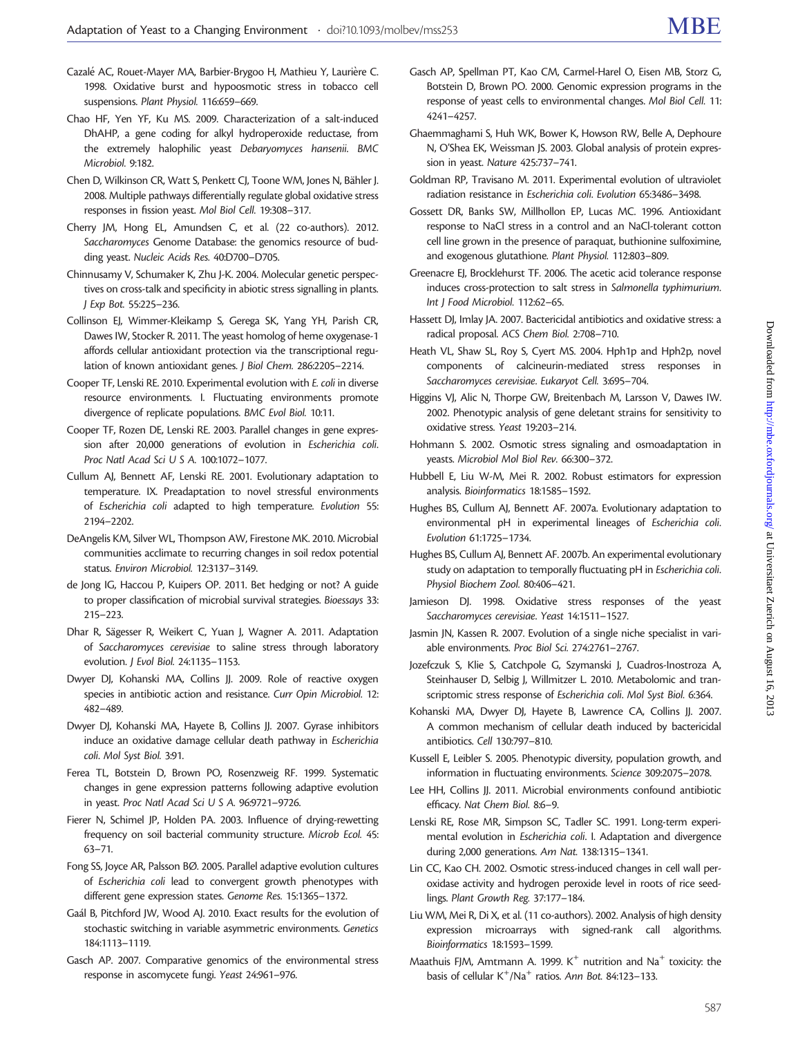- <span id="page-14-0"></span>Cazalé AC, Rouet-Mayer MA, Barbier-Brygoo H, Mathieu Y, Laurière C. 1998. Oxidative burst and hypoosmotic stress in tobacco cell suspensions. Plant Physiol. 116:659–669.
- Chao HF, Yen YF, Ku MS. 2009. Characterization of a salt-induced DhAHP, a gene coding for alkyl hydroperoxide reductase, from the extremely halophilic yeast Debaryomyces hansenii. BMC Microbiol. 9:182.
- Chen D, Wilkinson CR, Watt S, Penkett CJ, Toone WM, Jones N, Bähler J. 2008. Multiple pathways differentially regulate global oxidative stress responses in fission yeast. Mol Biol Cell. 19:308–317.
- Cherry JM, Hong EL, Amundsen C, et al. (22 co-authors). 2012. Saccharomyces Genome Database: the genomics resource of budding yeast. Nucleic Acids Res. 40:D700–D705.
- Chinnusamy V, Schumaker K, Zhu J-K. 2004. Molecular genetic perspectives on cross-talk and specificity in abiotic stress signalling in plants. J Exp Bot. 55:225–236.
- Collinson EJ, Wimmer-Kleikamp S, Gerega SK, Yang YH, Parish CR, Dawes IW, Stocker R. 2011. The yeast homolog of heme oxygenase-1 affords cellular antioxidant protection via the transcriptional regulation of known antioxidant genes. J Biol Chem. 286:2205–2214.
- Cooper TF, Lenski RE. 2010. Experimental evolution with E. coli in diverse resource environments. I. Fluctuating environments promote divergence of replicate populations. BMC Evol Biol. 10:11.
- Cooper TF, Rozen DE, Lenski RE. 2003. Parallel changes in gene expression after 20,000 generations of evolution in Escherichia coli. Proc Natl Acad Sci U S A. 100:1072–1077.
- Cullum AJ, Bennett AF, Lenski RE. 2001. Evolutionary adaptation to temperature. IX. Preadaptation to novel stressful environments of Escherichia coli adapted to high temperature. Evolution 55: 2194–2202.
- DeAngelis KM, Silver WL, Thompson AW, Firestone MK. 2010. Microbial communities acclimate to recurring changes in soil redox potential status. Environ Microbiol. 12:3137–3149.
- de Jong IG, Haccou P, Kuipers OP. 2011. Bet hedging or not? A guide to proper classification of microbial survival strategies. Bioessays 33: 215–223.
- Dhar R, Sägesser R, Weikert C, Yuan J, Wagner A. 2011. Adaptation of Saccharomyces cerevisiae to saline stress through laboratory evolution. J Evol Biol. 24:1135–1153.
- Dwyer DJ, Kohanski MA, Collins JJ. 2009. Role of reactive oxygen species in antibiotic action and resistance. Curr Opin Microbiol. 12: 482–489.
- Dwyer DJ, Kohanski MA, Hayete B, Collins JJ. 2007. Gyrase inhibitors induce an oxidative damage cellular death pathway in Escherichia coli. Mol Syst Biol. 3:91.
- Ferea TL, Botstein D, Brown PO, Rosenzweig RF. 1999. Systematic changes in gene expression patterns following adaptive evolution in yeast. Proc Natl Acad Sci U S A. 96:9721–9726.
- Fierer N, Schimel JP, Holden PA. 2003. Influence of drying-rewetting frequency on soil bacterial community structure. Microb Ecol. 45: 63–71.
- Fong SS, Joyce AR, Palsson BØ. 2005. Parallel adaptive evolution cultures of Escherichia coli lead to convergent growth phenotypes with different gene expression states. Genome Res. 15:1365–1372.
- Gaa´l B, Pitchford JW, Wood AJ. 2010. Exact results for the evolution of stochastic switching in variable asymmetric environments. Genetics 184:1113–1119.
- Gasch AP. 2007. Comparative genomics of the environmental stress response in ascomycete fungi. Yeast 24:961–976.
- Gasch AP, Spellman PT, Kao CM, Carmel-Harel O, Eisen MB, Storz G, Botstein D, Brown PO. 2000. Genomic expression programs in the response of yeast cells to environmental changes. Mol Biol Cell. 11: 4241–4257.
- Ghaemmaghami S, Huh WK, Bower K, Howson RW, Belle A, Dephoure N, O'Shea EK, Weissman JS. 2003. Global analysis of protein expression in yeast. Nature 425:737–741.
- Goldman RP, Travisano M. 2011. Experimental evolution of ultraviolet radiation resistance in Escherichia coli. Evolution 65:3486–3498.
- Gossett DR, Banks SW, Millhollon EP, Lucas MC. 1996. Antioxidant response to NaCl stress in a control and an NaCl-tolerant cotton cell line grown in the presence of paraquat, buthionine sulfoximine, and exogenous glutathione. Plant Physiol. 112:803–809.
- Greenacre EJ, Brocklehurst TF. 2006. The acetic acid tolerance response induces cross-protection to salt stress in Salmonella typhimurium. Int J Food Microbiol. 112:62–65.
- Hassett DJ, Imlay JA. 2007. Bactericidal antibiotics and oxidative stress: a radical proposal. ACS Chem Biol. 2:708–710.
- Heath VL, Shaw SL, Roy S, Cyert MS. 2004. Hph1p and Hph2p, novel components of calcineurin-mediated stress responses in Saccharomyces cerevisiae. Eukaryot Cell. 3:695–704.
- Higgins VJ, Alic N, Thorpe GW, Breitenbach M, Larsson V, Dawes IW. 2002. Phenotypic analysis of gene deletant strains for sensitivity to oxidative stress. Yeast 19:203–214.
- Hohmann S. 2002. Osmotic stress signaling and osmoadaptation in yeasts. Microbiol Mol Biol Rev. 66:300–372.
- Hubbell E, Liu W-M, Mei R. 2002. Robust estimators for expression analysis. Bioinformatics 18:1585–1592.
- Hughes BS, Cullum AJ, Bennett AF. 2007a. Evolutionary adaptation to environmental pH in experimental lineages of Escherichia coli. Evolution 61:1725–1734.
- Hughes BS, Cullum AJ, Bennett AF. 2007b. An experimental evolutionary study on adaptation to temporally fluctuating pH in Escherichia coli. Physiol Biochem Zool. 80:406–421.
- Jamieson DJ. 1998. Oxidative stress responses of the yeast Saccharomyces cerevisiae. Yeast 14:1511–1527.
- Jasmin JN, Kassen R. 2007. Evolution of a single niche specialist in variable environments. Proc Biol Sci. 274:2761–2767.
- Jozefczuk S, Klie S, Catchpole G, Szymanski J, Cuadros-Inostroza A, Steinhauser D, Selbig J, Willmitzer L. 2010. Metabolomic and transcriptomic stress response of Escherichia coli. Mol Syst Biol. 6:364.
- Kohanski MA, Dwyer DJ, Hayete B, Lawrence CA, Collins JJ. 2007. A common mechanism of cellular death induced by bactericidal antibiotics. Cell 130:797–810.
- Kussell E, Leibler S. 2005. Phenotypic diversity, population growth, and information in fluctuating environments. Science 309:2075–2078.
- Lee HH, Collins JJ. 2011. Microbial environments confound antibiotic efficacy. Nat Chem Biol. 8:6–9.
- Lenski RE, Rose MR, Simpson SC, Tadler SC. 1991. Long-term experimental evolution in Escherichia coli. I. Adaptation and divergence during 2,000 generations. Am Nat. 138:1315–1341.
- Lin CC, Kao CH. 2002. Osmotic stress-induced changes in cell wall peroxidase activity and hydrogen peroxide level in roots of rice seedlings. Plant Growth Reg. 37:177–184.
- Liu WM, Mei R, Di X, et al. (11 co-authors). 2002. Analysis of high density expression microarrays with signed-rank call algorithms. Bioinformatics 18:1593–1599.
- Maathuis FJM, Amtmann A. 1999.  $K^+$  nutrition and Na<sup>+</sup> toxicity: the basis of cellular  $K^+/Na^+$  ratios. Ann Bot. 84:123-133.